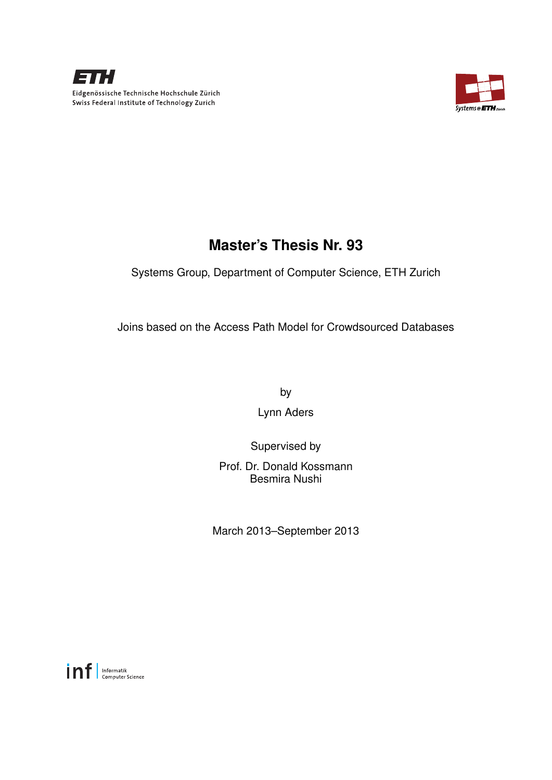



## **Master's Thesis Nr. 93**

Systems Group, Department of Computer Science, ETH Zurich

Joins based on the Access Path Model for Crowdsourced Databases

by

Lynn Aders

Supervised by

Prof. Dr. Donald Kossmann Besmira Nushi

March 2013–September 2013

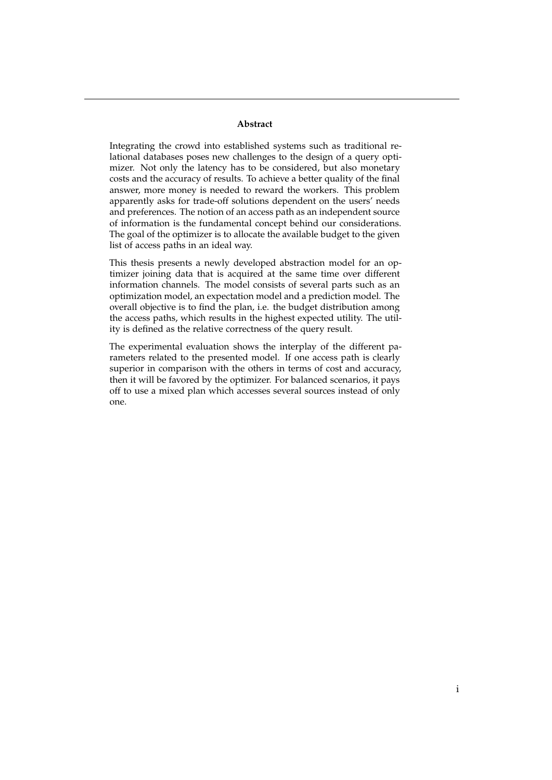#### **Abstract**

Integrating the crowd into established systems such as traditional relational databases poses new challenges to the design of a query optimizer. Not only the latency has to be considered, but also monetary costs and the accuracy of results. To achieve a better quality of the final answer, more money is needed to reward the workers. This problem apparently asks for trade-off solutions dependent on the users' needs and preferences. The notion of an access path as an independent source of information is the fundamental concept behind our considerations. The goal of the optimizer is to allocate the available budget to the given list of access paths in an ideal way.

This thesis presents a newly developed abstraction model for an optimizer joining data that is acquired at the same time over different information channels. The model consists of several parts such as an optimization model, an expectation model and a prediction model. The overall objective is to find the plan, i.e. the budget distribution among the access paths, which results in the highest expected utility. The utility is defined as the relative correctness of the query result.

The experimental evaluation shows the interplay of the different parameters related to the presented model. If one access path is clearly superior in comparison with the others in terms of cost and accuracy, then it will be favored by the optimizer. For balanced scenarios, it pays off to use a mixed plan which accesses several sources instead of only one.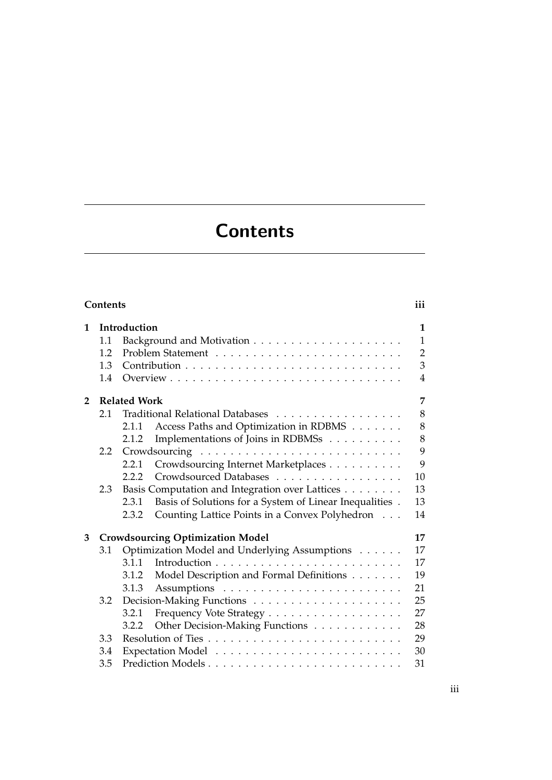# **Contents**

<span id="page-4-0"></span>

| 1                                                    |                  | Introduction                                                     | $\mathbf{1}$   |  |  |
|------------------------------------------------------|------------------|------------------------------------------------------------------|----------------|--|--|
|                                                      | 1.1              |                                                                  | $\mathbf{1}$   |  |  |
|                                                      | 1.2              |                                                                  | $\overline{2}$ |  |  |
|                                                      | 1.3              |                                                                  | 3              |  |  |
|                                                      | 1.4              |                                                                  | 4              |  |  |
| $\overline{2}$                                       |                  | <b>Related Work</b>                                              | 7              |  |  |
|                                                      | 2.1              | Traditional Relational Databases                                 | 8              |  |  |
|                                                      |                  | Access Paths and Optimization in RDBMS<br>2.1.1                  | 8              |  |  |
|                                                      |                  | Implementations of Joins in RDBMSs<br>2.1.2                      | 8              |  |  |
|                                                      | $2.2\phantom{0}$ |                                                                  | 9              |  |  |
|                                                      |                  |                                                                  | 9              |  |  |
|                                                      |                  | Crowdsourcing Internet Marketplaces<br>2.2.1                     |                |  |  |
|                                                      |                  | Crowdsourced Databases<br>2.2.2                                  | 10             |  |  |
|                                                      | 2.3              | Basis Computation and Integration over Lattices                  | 13             |  |  |
|                                                      |                  | Basis of Solutions for a System of Linear Inequalities.<br>2.3.1 | 13             |  |  |
|                                                      |                  | Counting Lattice Points in a Convex Polyhedron<br>2.3.2          | 14             |  |  |
| 3                                                    |                  | <b>Crowdsourcing Optimization Model</b>                          | 17             |  |  |
| Optimization Model and Underlying Assumptions<br>3.1 |                  |                                                                  | 17             |  |  |
|                                                      |                  | 3.1.1                                                            | 17             |  |  |
|                                                      |                  | Model Description and Formal Definitions<br>3.1.2                | 19             |  |  |
|                                                      |                  | 3.1.3                                                            | 21             |  |  |
|                                                      | 3.2              |                                                                  | 25             |  |  |
|                                                      |                  | Frequency Vote Strategy<br>3.2.1                                 | 27             |  |  |
|                                                      |                  | Other Decision-Making Functions<br>3.2.2                         | 28             |  |  |
|                                                      | 3.3              |                                                                  | 29             |  |  |
|                                                      | 3.4              |                                                                  | 30             |  |  |
|                                                      | 3.5              |                                                                  | 31             |  |  |
|                                                      |                  |                                                                  |                |  |  |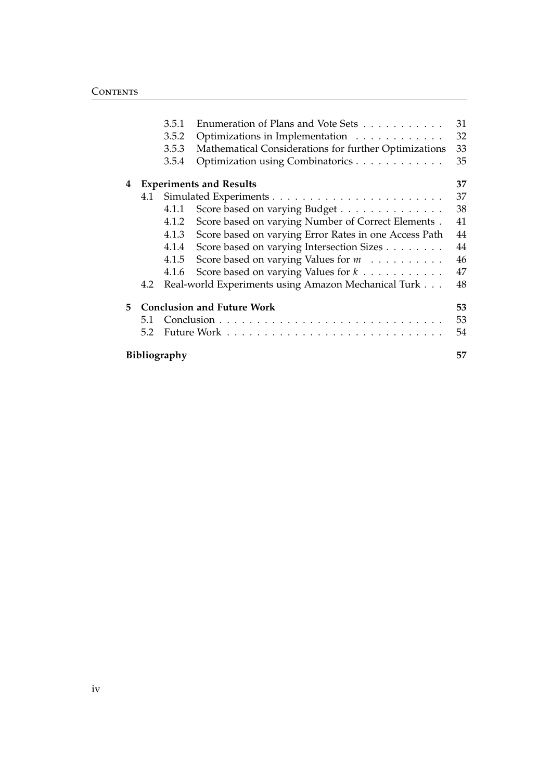|    |                                   | 3.5.1 | Enumeration of Plans and Vote Sets                         | 31 |  |  |
|----|-----------------------------------|-------|------------------------------------------------------------|----|--|--|
|    |                                   | 3.5.2 | Optimizations in Implementation                            | 32 |  |  |
|    |                                   | 3.5.3 | Mathematical Considerations for further Optimizations      | 33 |  |  |
|    |                                   | 3.5.4 | Optimization using Combinatorics                           | 35 |  |  |
| 4  |                                   |       | <b>Experiments and Results</b>                             | 37 |  |  |
|    | 4.1                               |       |                                                            | 37 |  |  |
|    |                                   | 4.1.1 | Score based on varying Budget                              | 38 |  |  |
|    |                                   | 4.1.2 | Score based on varying Number of Correct Elements.         | 41 |  |  |
|    |                                   | 4.1.3 | Score based on varying Error Rates in one Access Path      | 44 |  |  |
|    |                                   | 4.1.4 | Score based on varying Intersection Sizes                  | 44 |  |  |
|    |                                   | 4.1.5 | Score based on varying Values for $m \ldots \ldots \ldots$ | 46 |  |  |
|    |                                   | 4.1.6 | Score based on varying Values for $k \ldots \ldots \ldots$ | 47 |  |  |
|    | 4.2                               |       | Real-world Experiments using Amazon Mechanical Turk        | 48 |  |  |
| 5. | <b>Conclusion and Future Work</b> |       |                                                            |    |  |  |
|    | 5.1                               |       |                                                            | 53 |  |  |
|    | 5.2                               |       |                                                            | 54 |  |  |
|    | <b>Bibliography</b><br>57         |       |                                                            |    |  |  |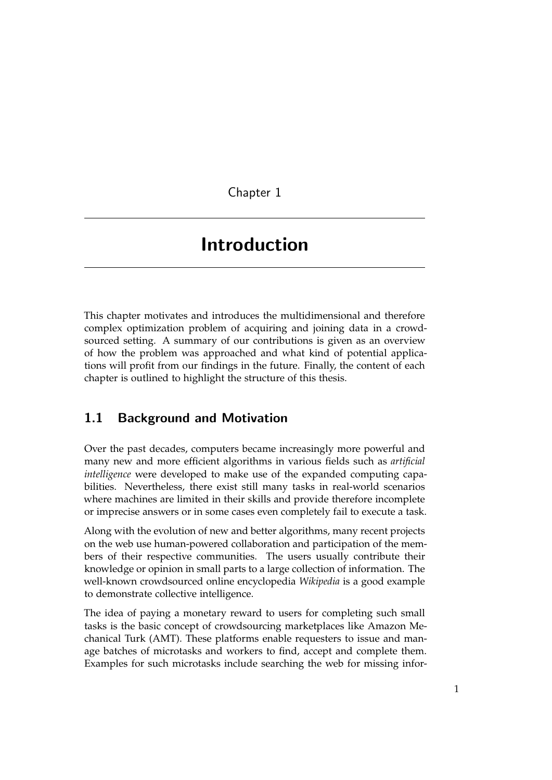<span id="page-6-0"></span>Chapter 1

# Introduction

This chapter motivates and introduces the multidimensional and therefore complex optimization problem of acquiring and joining data in a crowdsourced setting. A summary of our contributions is given as an overview of how the problem was approached and what kind of potential applications will profit from our findings in the future. Finally, the content of each chapter is outlined to highlight the structure of this thesis.

## <span id="page-6-1"></span>1.1 Background and Motivation

Over the past decades, computers became increasingly more powerful and many new and more efficient algorithms in various fields such as *artificial intelligence* were developed to make use of the expanded computing capabilities. Nevertheless, there exist still many tasks in real-world scenarios where machines are limited in their skills and provide therefore incomplete or imprecise answers or in some cases even completely fail to execute a task.

Along with the evolution of new and better algorithms, many recent projects on the web use human-powered collaboration and participation of the members of their respective communities. The users usually contribute their knowledge or opinion in small parts to a large collection of information. The well-known crowdsourced online encyclopedia *Wikipedia* is a good example to demonstrate collective intelligence.

The idea of paying a monetary reward to users for completing such small tasks is the basic concept of crowdsourcing marketplaces like Amazon Mechanical Turk (AMT). These platforms enable requesters to issue and manage batches of microtasks and workers to find, accept and complete them. Examples for such microtasks include searching the web for missing infor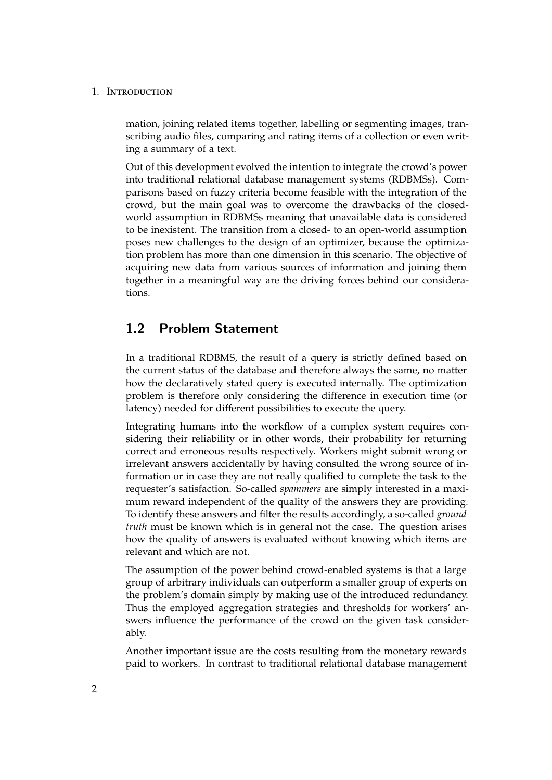mation, joining related items together, labelling or segmenting images, transcribing audio files, comparing and rating items of a collection or even writing a summary of a text.

Out of this development evolved the intention to integrate the crowd's power into traditional relational database management systems (RDBMSs). Comparisons based on fuzzy criteria become feasible with the integration of the crowd, but the main goal was to overcome the drawbacks of the closedworld assumption in RDBMSs meaning that unavailable data is considered to be inexistent. The transition from a closed- to an open-world assumption poses new challenges to the design of an optimizer, because the optimization problem has more than one dimension in this scenario. The objective of acquiring new data from various sources of information and joining them together in a meaningful way are the driving forces behind our considerations.

## <span id="page-7-0"></span>1.2 Problem Statement

In a traditional RDBMS, the result of a query is strictly defined based on the current status of the database and therefore always the same, no matter how the declaratively stated query is executed internally. The optimization problem is therefore only considering the difference in execution time (or latency) needed for different possibilities to execute the query.

Integrating humans into the workflow of a complex system requires considering their reliability or in other words, their probability for returning correct and erroneous results respectively. Workers might submit wrong or irrelevant answers accidentally by having consulted the wrong source of information or in case they are not really qualified to complete the task to the requester's satisfaction. So-called *spammers* are simply interested in a maximum reward independent of the quality of the answers they are providing. To identify these answers and filter the results accordingly, a so-called *ground truth* must be known which is in general not the case. The question arises how the quality of answers is evaluated without knowing which items are relevant and which are not.

The assumption of the power behind crowd-enabled systems is that a large group of arbitrary individuals can outperform a smaller group of experts on the problem's domain simply by making use of the introduced redundancy. Thus the employed aggregation strategies and thresholds for workers' answers influence the performance of the crowd on the given task considerably.

Another important issue are the costs resulting from the monetary rewards paid to workers. In contrast to traditional relational database management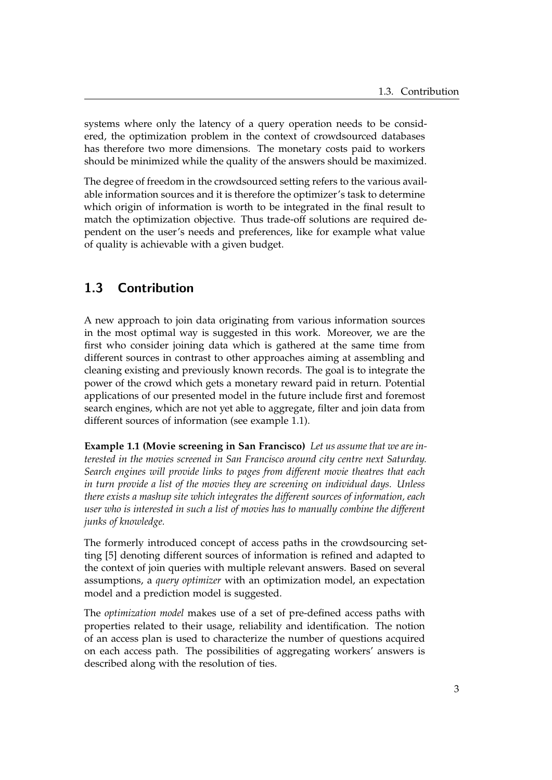systems where only the latency of a query operation needs to be considered, the optimization problem in the context of crowdsourced databases has therefore two more dimensions. The monetary costs paid to workers should be minimized while the quality of the answers should be maximized.

The degree of freedom in the crowdsourced setting refers to the various available information sources and it is therefore the optimizer's task to determine which origin of information is worth to be integrated in the final result to match the optimization objective. Thus trade-off solutions are required dependent on the user's needs and preferences, like for example what value of quality is achievable with a given budget.

## <span id="page-8-0"></span>1.3 Contribution

A new approach to join data originating from various information sources in the most optimal way is suggested in this work. Moreover, we are the first who consider joining data which is gathered at the same time from different sources in contrast to other approaches aiming at assembling and cleaning existing and previously known records. The goal is to integrate the power of the crowd which gets a monetary reward paid in return. Potential applications of our presented model in the future include first and foremost search engines, which are not yet able to aggregate, filter and join data from different sources of information (see example [1.1\)](#page-8-1).

<span id="page-8-1"></span>**Example 1.1 (Movie screening in San Francisco)** *Let us assume that we are interested in the movies screened in San Francisco around city centre next Saturday. Search engines will provide links to pages from different movie theatres that each in turn provide a list of the movies they are screening on individual days. Unless there exists a mashup site which integrates the different sources of information, each user who is interested in such a list of movies has to manually combine the different junks of knowledge.*

The formerly introduced concept of access paths in the crowdsourcing setting [\[5\]](#page-62-1) denoting different sources of information is refined and adapted to the context of join queries with multiple relevant answers. Based on several assumptions, a *query optimizer* with an optimization model, an expectation model and a prediction model is suggested.

The *optimization model* makes use of a set of pre-defined access paths with properties related to their usage, reliability and identification. The notion of an access plan is used to characterize the number of questions acquired on each access path. The possibilities of aggregating workers' answers is described along with the resolution of ties.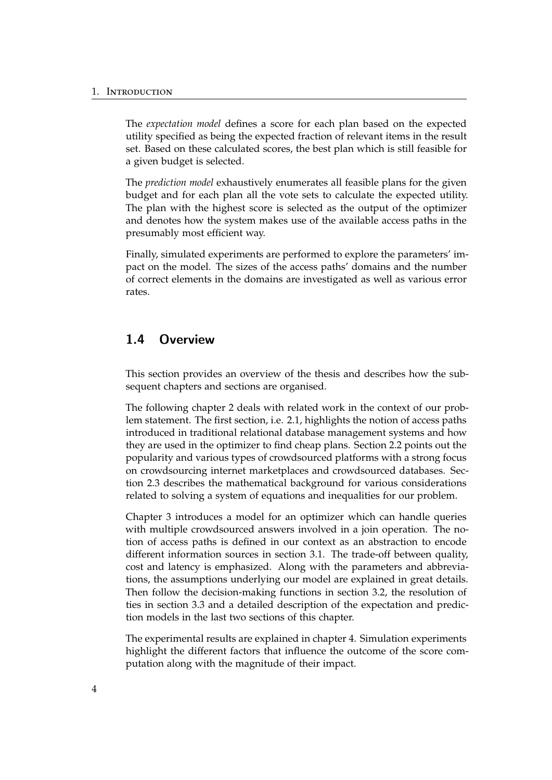The *expectation model* defines a score for each plan based on the expected utility specified as being the expected fraction of relevant items in the result set. Based on these calculated scores, the best plan which is still feasible for a given budget is selected.

The *prediction model* exhaustively enumerates all feasible plans for the given budget and for each plan all the vote sets to calculate the expected utility. The plan with the highest score is selected as the output of the optimizer and denotes how the system makes use of the available access paths in the presumably most efficient way.

Finally, simulated experiments are performed to explore the parameters' impact on the model. The sizes of the access paths' domains and the number of correct elements in the domains are investigated as well as various error rates.

## <span id="page-9-0"></span>1.4 Overview

This section provides an overview of the thesis and describes how the subsequent chapters and sections are organised.

The following chapter [2](#page-12-0) deals with related work in the context of our problem statement. The first section, i.e. [2.1,](#page-13-0) highlights the notion of access paths introduced in traditional relational database management systems and how they are used in the optimizer to find cheap plans. Section [2.2](#page-14-0) points out the popularity and various types of crowdsourced platforms with a strong focus on crowdsourcing internet marketplaces and crowdsourced databases. Section [2.3](#page-18-0) describes the mathematical background for various considerations related to solving a system of equations and inequalities for our problem.

Chapter [3](#page-22-0) introduces a model for an optimizer which can handle queries with multiple crowdsourced answers involved in a join operation. The notion of access paths is defined in our context as an abstraction to encode different information sources in section [3.1.](#page-22-1) The trade-off between quality, cost and latency is emphasized. Along with the parameters and abbreviations, the assumptions underlying our model are explained in great details. Then follow the decision-making functions in section [3.2,](#page-31-0) the resolution of ties in section [3.3](#page-33-1) and a detailed description of the expectation and prediction models in the last two sections of this chapter.

The experimental results are explained in chapter [4.](#page-42-0) Simulation experiments highlight the different factors that influence the outcome of the score computation along with the magnitude of their impact.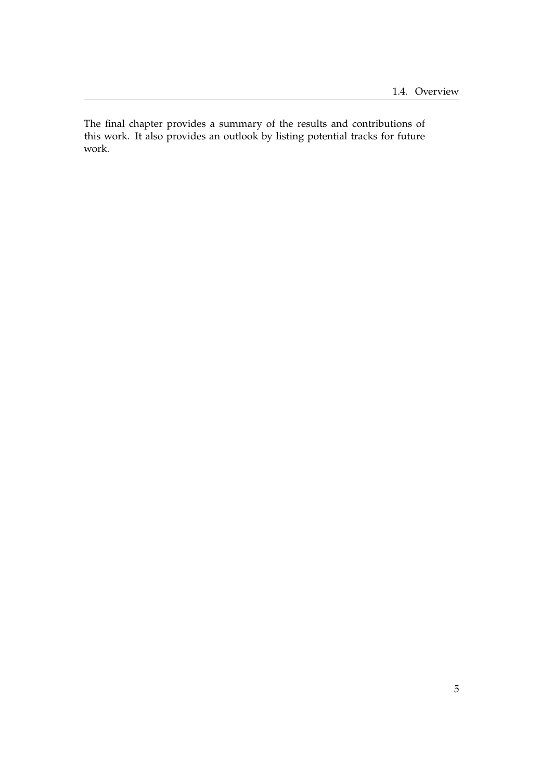The final chapter provides a summary of the results and contributions of this work. It also provides an outlook by listing potential tracks for future work.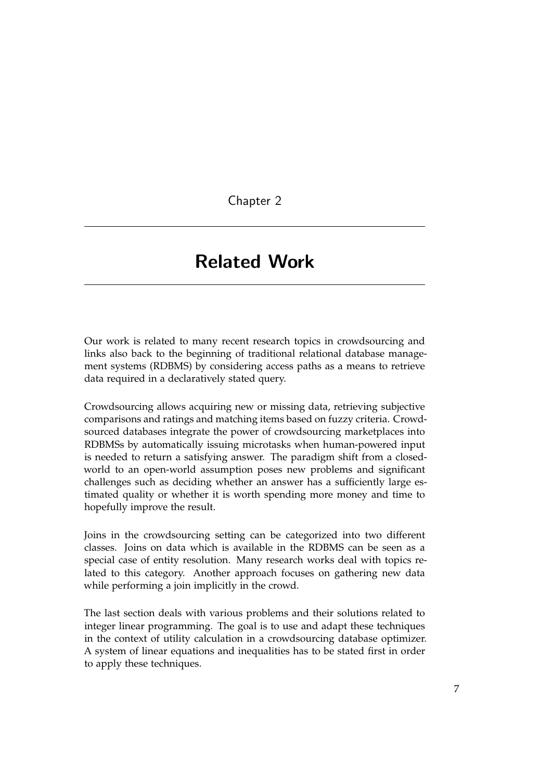<span id="page-12-0"></span>Chapter 2

## Related Work

Our work is related to many recent research topics in crowdsourcing and links also back to the beginning of traditional relational database management systems (RDBMS) by considering access paths as a means to retrieve data required in a declaratively stated query.

Crowdsourcing allows acquiring new or missing data, retrieving subjective comparisons and ratings and matching items based on fuzzy criteria. Crowdsourced databases integrate the power of crowdsourcing marketplaces into RDBMSs by automatically issuing microtasks when human-powered input is needed to return a satisfying answer. The paradigm shift from a closedworld to an open-world assumption poses new problems and significant challenges such as deciding whether an answer has a sufficiently large estimated quality or whether it is worth spending more money and time to hopefully improve the result.

Joins in the crowdsourcing setting can be categorized into two different classes. Joins on data which is available in the RDBMS can be seen as a special case of entity resolution. Many research works deal with topics related to this category. Another approach focuses on gathering new data while performing a join implicitly in the crowd.

The last section deals with various problems and their solutions related to integer linear programming. The goal is to use and adapt these techniques in the context of utility calculation in a crowdsourcing database optimizer. A system of linear equations and inequalities has to be stated first in order to apply these techniques.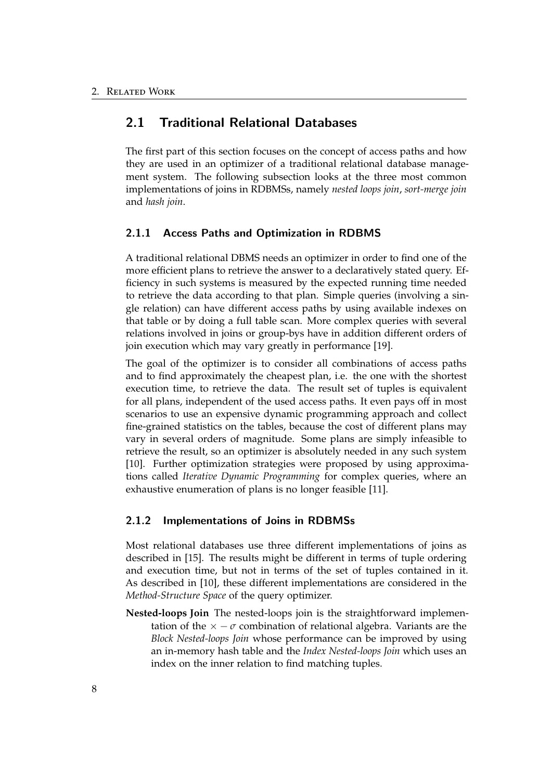## <span id="page-13-0"></span>2.1 Traditional Relational Databases

The first part of this section focuses on the concept of access paths and how they are used in an optimizer of a traditional relational database management system. The following subsection looks at the three most common implementations of joins in RDBMSs, namely *nested loops join*, *sort-merge join* and *hash join*.

#### <span id="page-13-1"></span>2.1.1 Access Paths and Optimization in RDBMS

A traditional relational DBMS needs an optimizer in order to find one of the more efficient plans to retrieve the answer to a declaratively stated query. Efficiency in such systems is measured by the expected running time needed to retrieve the data according to that plan. Simple queries (involving a single relation) can have different access paths by using available indexes on that table or by doing a full table scan. More complex queries with several relations involved in joins or group-bys have in addition different orders of join execution which may vary greatly in performance [\[19\]](#page-63-0).

The goal of the optimizer is to consider all combinations of access paths and to find approximately the cheapest plan, i.e. the one with the shortest execution time, to retrieve the data. The result set of tuples is equivalent for all plans, independent of the used access paths. It even pays off in most scenarios to use an expensive dynamic programming approach and collect fine-grained statistics on the tables, because the cost of different plans may vary in several orders of magnitude. Some plans are simply infeasible to retrieve the result, so an optimizer is absolutely needed in any such system [\[10\]](#page-63-1). Further optimization strategies were proposed by using approximations called *Iterative Dynamic Programming* for complex queries, where an exhaustive enumeration of plans is no longer feasible [\[11\]](#page-63-2).

### <span id="page-13-2"></span>2.1.2 Implementations of Joins in RDBMSs

Most relational databases use three different implementations of joins as described in [\[15\]](#page-63-3). The results might be different in terms of tuple ordering and execution time, but not in terms of the set of tuples contained in it. As described in [\[10\]](#page-63-1), these different implementations are considered in the *Method-Structure Space* of the query optimizer.

**Nested-loops Join** The nested-loops join is the straightforward implementation of the  $\times -\sigma$  combination of relational algebra. Variants are the *Block Nested-loops Join* whose performance can be improved by using an in-memory hash table and the *Index Nested-loops Join* which uses an index on the inner relation to find matching tuples.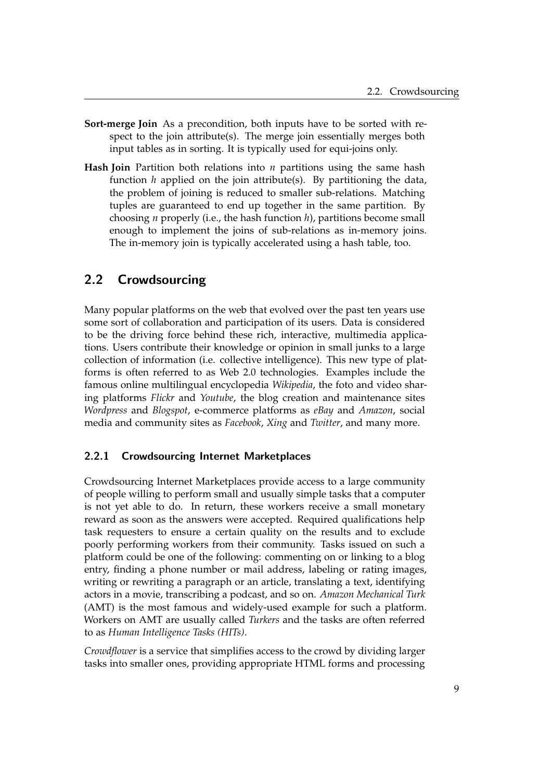- **Sort-merge Join** As a precondition, both inputs have to be sorted with respect to the join attribute(s). The merge join essentially merges both input tables as in sorting. It is typically used for equi-joins only.
- **Hash Join** Partition both relations into *n* partitions using the same hash function *h* applied on the join attribute(s). By partitioning the data, the problem of joining is reduced to smaller sub-relations. Matching tuples are guaranteed to end up together in the same partition. By choosing *n* properly (i.e., the hash function *h*), partitions become small enough to implement the joins of sub-relations as in-memory joins. The in-memory join is typically accelerated using a hash table, too.

## <span id="page-14-0"></span>2.2 Crowdsourcing

Many popular platforms on the web that evolved over the past ten years use some sort of collaboration and participation of its users. Data is considered to be the driving force behind these rich, interactive, multimedia applications. Users contribute their knowledge or opinion in small junks to a large collection of information (i.e. collective intelligence). This new type of platforms is often referred to as Web 2.0 technologies. Examples include the famous online multilingual encyclopedia *Wikipedia*, the foto and video sharing platforms *Flickr* and *Youtube*, the blog creation and maintenance sites *Wordpress* and *Blogspot*, e-commerce platforms as *eBay* and *Amazon*, social media and community sites as *Facebook*, *Xing* and *Twitter*, and many more.

## <span id="page-14-1"></span>2.2.1 Crowdsourcing Internet Marketplaces

Crowdsourcing Internet Marketplaces provide access to a large community of people willing to perform small and usually simple tasks that a computer is not yet able to do. In return, these workers receive a small monetary reward as soon as the answers were accepted. Required qualifications help task requesters to ensure a certain quality on the results and to exclude poorly performing workers from their community. Tasks issued on such a platform could be one of the following: commenting on or linking to a blog entry, finding a phone number or mail address, labeling or rating images, writing or rewriting a paragraph or an article, translating a text, identifying actors in a movie, transcribing a podcast, and so on. *Amazon Mechanical Turk* (AMT) is the most famous and widely-used example for such a platform. Workers on AMT are usually called *Turkers* and the tasks are often referred to as *Human Intelligence Tasks (HITs)*.

*Crowdflower* is a service that simplifies access to the crowd by dividing larger tasks into smaller ones, providing appropriate HTML forms and processing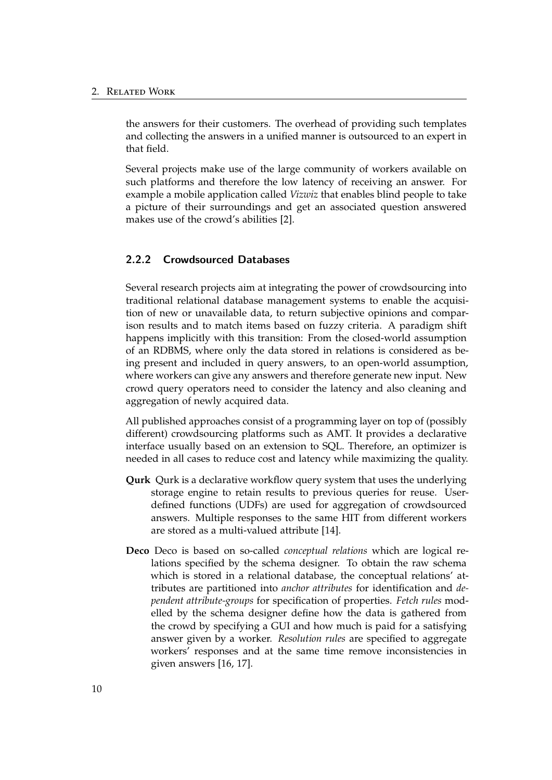the answers for their customers. The overhead of providing such templates and collecting the answers in a unified manner is outsourced to an expert in that field.

Several projects make use of the large community of workers available on such platforms and therefore the low latency of receiving an answer. For example a mobile application called *Vizwiz* that enables blind people to take a picture of their surroundings and get an associated question answered makes use of the crowd's abilities [\[2\]](#page-62-2).

### <span id="page-15-0"></span>2.2.2 Crowdsourced Databases

Several research projects aim at integrating the power of crowdsourcing into traditional relational database management systems to enable the acquisition of new or unavailable data, to return subjective opinions and comparison results and to match items based on fuzzy criteria. A paradigm shift happens implicitly with this transition: From the closed-world assumption of an RDBMS, where only the data stored in relations is considered as being present and included in query answers, to an open-world assumption, where workers can give any answers and therefore generate new input. New crowd query operators need to consider the latency and also cleaning and aggregation of newly acquired data.

All published approaches consist of a programming layer on top of (possibly different) crowdsourcing platforms such as AMT. It provides a declarative interface usually based on an extension to SQL. Therefore, an optimizer is needed in all cases to reduce cost and latency while maximizing the quality.

- **Qurk** Qurk is a declarative workflow query system that uses the underlying storage engine to retain results to previous queries for reuse. Userdefined functions (UDFs) are used for aggregation of crowdsourced answers. Multiple responses to the same HIT from different workers are stored as a multi-valued attribute [\[14\]](#page-63-4).
- **Deco** Deco is based on so-called *conceptual relations* which are logical relations specified by the schema designer. To obtain the raw schema which is stored in a relational database, the conceptual relations' attributes are partitioned into *anchor attributes* for identification and *dependent attribute-groups* for specification of properties. *Fetch rules* modelled by the schema designer define how the data is gathered from the crowd by specifying a GUI and how much is paid for a satisfying answer given by a worker. *Resolution rules* are specified to aggregate workers' responses and at the same time remove inconsistencies in given answers [\[16,](#page-63-5) [17\]](#page-63-6).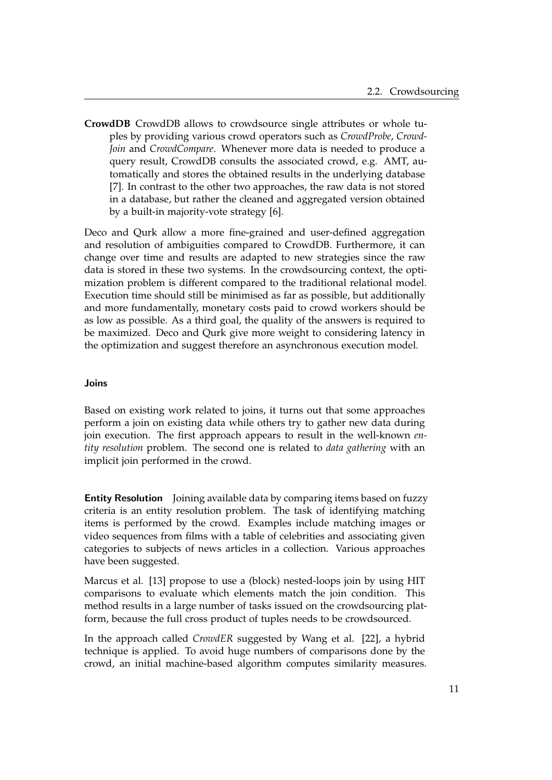**CrowdDB** CrowdDB allows to crowdsource single attributes or whole tuples by providing various crowd operators such as *CrowdProbe*, *Crowd-Join* and *CrowdCompare*. Whenever more data is needed to produce a query result, CrowdDB consults the associated crowd, e.g. AMT, automatically and stores the obtained results in the underlying database [\[7\]](#page-62-3). In contrast to the other two approaches, the raw data is not stored in a database, but rather the cleaned and aggregated version obtained by a built-in majority-vote strategy [\[6\]](#page-62-4).

Deco and Qurk allow a more fine-grained and user-defined aggregation and resolution of ambiguities compared to CrowdDB. Furthermore, it can change over time and results are adapted to new strategies since the raw data is stored in these two systems. In the crowdsourcing context, the optimization problem is different compared to the traditional relational model. Execution time should still be minimised as far as possible, but additionally and more fundamentally, monetary costs paid to crowd workers should be as low as possible. As a third goal, the quality of the answers is required to be maximized. Deco and Qurk give more weight to considering latency in the optimization and suggest therefore an asynchronous execution model.

### Joins

Based on existing work related to joins, it turns out that some approaches perform a join on existing data while others try to gather new data during join execution. The first approach appears to result in the well-known *entity resolution* problem. The second one is related to *data gathering* with an implicit join performed in the crowd.

**Entity Resolution** Joining available data by comparing items based on fuzzy criteria is an entity resolution problem. The task of identifying matching items is performed by the crowd. Examples include matching images or video sequences from films with a table of celebrities and associating given categories to subjects of news articles in a collection. Various approaches have been suggested.

Marcus et al. [\[13\]](#page-63-7) propose to use a (block) nested-loops join by using HIT comparisons to evaluate which elements match the join condition. This method results in a large number of tasks issued on the crowdsourcing platform, because the full cross product of tuples needs to be crowdsourced.

In the approach called *CrowdER* suggested by Wang et al. [\[22\]](#page-64-0), a hybrid technique is applied. To avoid huge numbers of comparisons done by the crowd, an initial machine-based algorithm computes similarity measures.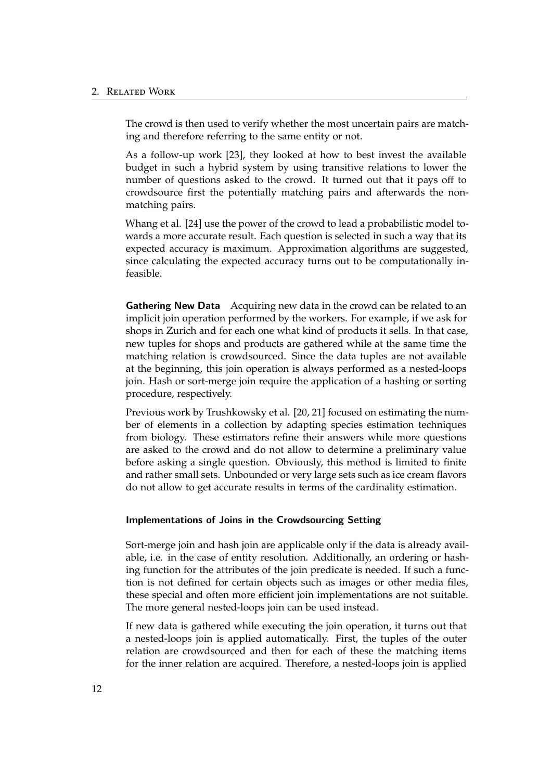#### 2. Related Work

The crowd is then used to verify whether the most uncertain pairs are matching and therefore referring to the same entity or not.

As a follow-up work [\[23\]](#page-64-1), they looked at how to best invest the available budget in such a hybrid system by using transitive relations to lower the number of questions asked to the crowd. It turned out that it pays off to crowdsource first the potentially matching pairs and afterwards the nonmatching pairs.

Whang et al. [\[24\]](#page-64-2) use the power of the crowd to lead a probabilistic model towards a more accurate result. Each question is selected in such a way that its expected accuracy is maximum. Approximation algorithms are suggested, since calculating the expected accuracy turns out to be computationally infeasible.

Gathering New Data Acquiring new data in the crowd can be related to an implicit join operation performed by the workers. For example, if we ask for shops in Zurich and for each one what kind of products it sells. In that case, new tuples for shops and products are gathered while at the same time the matching relation is crowdsourced. Since the data tuples are not available at the beginning, this join operation is always performed as a nested-loops join. Hash or sort-merge join require the application of a hashing or sorting procedure, respectively.

Previous work by Trushkowsky et al. [\[20,](#page-64-3) [21\]](#page-64-4) focused on estimating the number of elements in a collection by adapting species estimation techniques from biology. These estimators refine their answers while more questions are asked to the crowd and do not allow to determine a preliminary value before asking a single question. Obviously, this method is limited to finite and rather small sets. Unbounded or very large sets such as ice cream flavors do not allow to get accurate results in terms of the cardinality estimation.

#### Implementations of Joins in the Crowdsourcing Setting

Sort-merge join and hash join are applicable only if the data is already available, i.e. in the case of entity resolution. Additionally, an ordering or hashing function for the attributes of the join predicate is needed. If such a function is not defined for certain objects such as images or other media files, these special and often more efficient join implementations are not suitable. The more general nested-loops join can be used instead.

If new data is gathered while executing the join operation, it turns out that a nested-loops join is applied automatically. First, the tuples of the outer relation are crowdsourced and then for each of these the matching items for the inner relation are acquired. Therefore, a nested-loops join is applied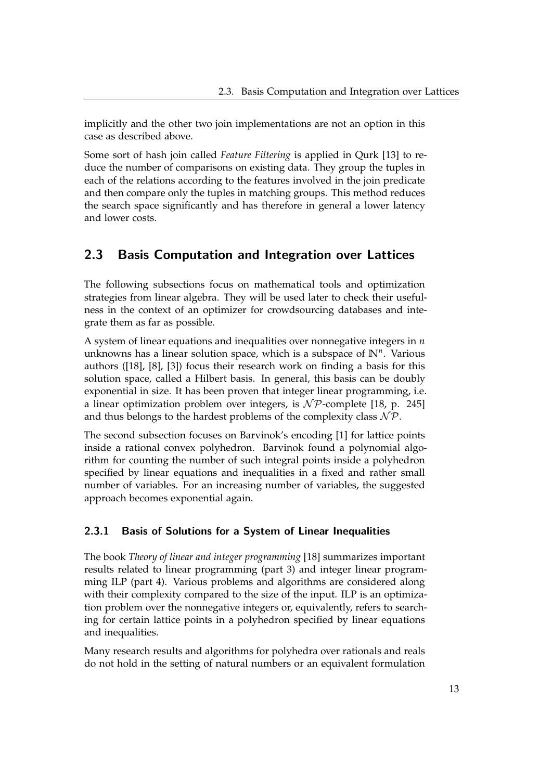implicitly and the other two join implementations are not an option in this case as described above.

Some sort of hash join called *Feature Filtering* is applied in Qurk [\[13\]](#page-63-7) to reduce the number of comparisons on existing data. They group the tuples in each of the relations according to the features involved in the join predicate and then compare only the tuples in matching groups. This method reduces the search space significantly and has therefore in general a lower latency and lower costs.

## <span id="page-18-0"></span>2.3 Basis Computation and Integration over Lattices

The following subsections focus on mathematical tools and optimization strategies from linear algebra. They will be used later to check their usefulness in the context of an optimizer for crowdsourcing databases and integrate them as far as possible.

A system of linear equations and inequalities over nonnegative integers in *n* unknowns has a linear solution space, which is a subspace of **N***<sup>n</sup>* . Various authors ([\[18\]](#page-63-8), [\[8\]](#page-63-9), [\[3\]](#page-62-5)) focus their research work on finding a basis for this solution space, called a Hilbert basis. In general, this basis can be doubly exponential in size. It has been proven that integer linear programming, i.e. a linear optimization problem over integers, is  $N \mathcal{P}$ -complete [\[18,](#page-63-8) p. 245] and thus belongs to the hardest problems of the complexity class  $N \mathcal{P}$ .

The second subsection focuses on Barvinok's encoding [\[1\]](#page-62-0) for lattice points inside a rational convex polyhedron. Barvinok found a polynomial algorithm for counting the number of such integral points inside a polyhedron specified by linear equations and inequalities in a fixed and rather small number of variables. For an increasing number of variables, the suggested approach becomes exponential again.

## <span id="page-18-1"></span>2.3.1 Basis of Solutions for a System of Linear Inequalities

The book *Theory of linear and integer programming* [\[18\]](#page-63-8) summarizes important results related to linear programming (part 3) and integer linear programming ILP (part 4). Various problems and algorithms are considered along with their complexity compared to the size of the input. ILP is an optimization problem over the nonnegative integers or, equivalently, refers to searching for certain lattice points in a polyhedron specified by linear equations and inequalities.

Many research results and algorithms for polyhedra over rationals and reals do not hold in the setting of natural numbers or an equivalent formulation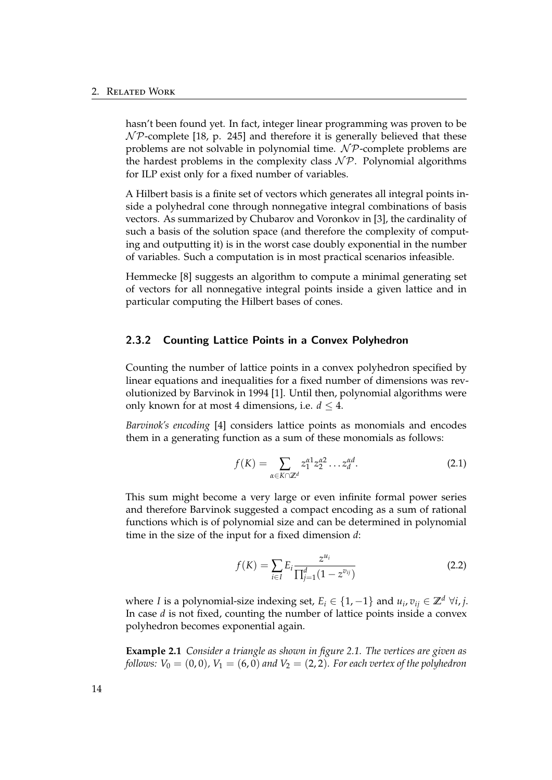hasn't been found yet. In fact, integer linear programming was proven to be  $\mathcal{NP}$ -complete [\[18,](#page-63-8) p. 245] and therefore it is generally believed that these problems are not solvable in polynomial time.  $N\mathcal{P}$ -complete problems are the hardest problems in the complexity class  $N \mathcal{P}$ . Polynomial algorithms for ILP exist only for a fixed number of variables.

A Hilbert basis is a finite set of vectors which generates all integral points inside a polyhedral cone through nonnegative integral combinations of basis vectors. As summarized by Chubarov and Voronkov in [\[3\]](#page-62-5), the cardinality of such a basis of the solution space (and therefore the complexity of computing and outputting it) is in the worst case doubly exponential in the number of variables. Such a computation is in most practical scenarios infeasible.

Hemmecke [\[8\]](#page-63-9) suggests an algorithm to compute a minimal generating set of vectors for all nonnegative integral points inside a given lattice and in particular computing the Hilbert bases of cones.

### <span id="page-19-0"></span>2.3.2 Counting Lattice Points in a Convex Polyhedron

Counting the number of lattice points in a convex polyhedron specified by linear equations and inequalities for a fixed number of dimensions was revolutionized by Barvinok in 1994 [\[1\]](#page-62-0). Until then, polynomial algorithms were only known for at most 4 dimensions, i.e.  $d \leq 4$ .

*Barvinok's encoding* [\[4\]](#page-62-6) considers lattice points as monomials and encodes them in a generating function as a sum of these monomials as follows:

$$
f(K) = \sum_{\alpha \in K \cap \mathbb{Z}^d} z_1^{\alpha 1} z_2^{\alpha 2} \dots z_d^{\alpha d}.
$$
 (2.1)

This sum might become a very large or even infinite formal power series and therefore Barvinok suggested a compact encoding as a sum of rational functions which is of polynomial size and can be determined in polynomial time in the size of the input for a fixed dimension *d*:

$$
f(K) = \sum_{i \in I} E_i \frac{z^{u_i}}{\prod_{j=1}^d (1 - z^{v_{ij}})}
$$
(2.2)

where *I* is a polynomial-size indexing set,  $E_i \in \{1, -1\}$  and  $u_i, v_{ij} \in \mathbb{Z}^d \; \forall i, j$ . In case *d* is not fixed, counting the number of lattice points inside a convex polyhedron becomes exponential again.

<span id="page-19-1"></span>**Example 2.1** *Consider a triangle as shown in figure [2.1.](#page-20-0) The vertices are given as follows:*  $V_0 = (0, 0)$ ,  $V_1 = (6, 0)$  *and*  $V_2 = (2, 2)$ *. For each vertex of the polyhedron*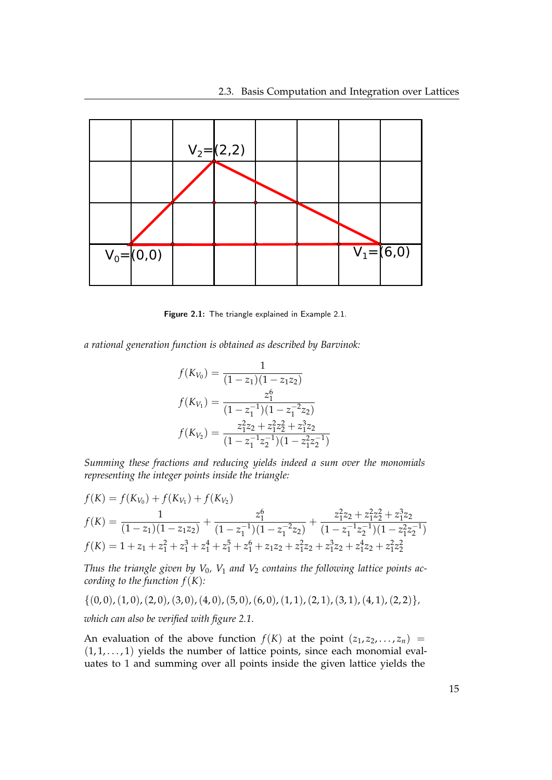

<span id="page-20-0"></span>Figure 2.1: The triangle explained in Example [2.1.](#page-19-1)

*a rational generation function is obtained as described by Barvinok:*

$$
f(K_{V_0}) = \frac{1}{(1 - z_1)(1 - z_1z_2)}
$$

$$
f(K_{V_1}) = \frac{z_1^6}{(1 - z_1^{-1})(1 - z_1^{-2}z_2)}
$$

$$
f(K_{V_2}) = \frac{z_1^2z_2 + z_1^2z_2^2 + z_1^3z_2}{(1 - z_1^{-1}z_2^{-1})(1 - z_1^2z_2^{-1})}
$$

*Summing these fractions and reducing yields indeed a sum over the monomials representing the integer points inside the triangle:*

$$
f(K) = f(K_{V_0}) + f(K_{V_1}) + f(K_{V_2})
$$
  
\n
$$
f(K) = \frac{1}{(1 - z_1)(1 - z_1z_2)} + \frac{z_1^6}{(1 - z_1^7)(1 - z_1^7z_2)} + \frac{z_1^2z_2 + z_1^2z_2^2 + z_1^3z_2}{(1 - z_1^7z_2^7)(1 - z_1^2z_2^7)}
$$
  
\n
$$
f(K) = 1 + z_1 + z_1^2 + z_1^3 + z_1^4 + z_1^5 + z_1^6 + z_1z_2 + z_1^2z_2 + z_1^3z_2 + z_1^4z_2 + z_1^2z_2^2
$$

*Thus the triangle given by V*0*, V*<sup>1</sup> *and V*<sup>2</sup> *contains the following lattice points according to the function*  $f(K)$ *:* 

$$
\{(0,0), (1,0), (2,0), (3,0), (4,0), (5,0), (6,0), (1,1), (2,1), (3,1), (4,1), (2,2)\},\
$$

*which can also be verified with figure [2.1.](#page-20-0)*

An evaluation of the above function  $f(K)$  at the point  $(z_1, z_2, \ldots, z_n)$  =  $(1, 1, \ldots, 1)$  yields the number of lattice points, since each monomial evaluates to 1 and summing over all points inside the given lattice yields the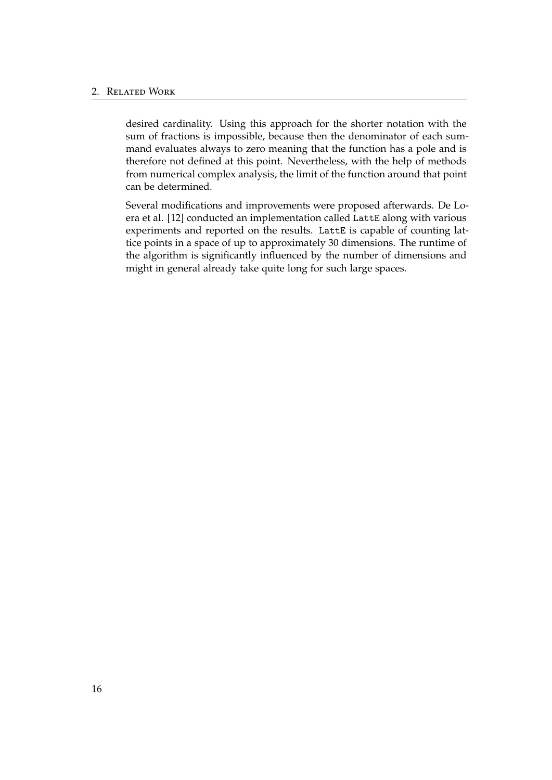desired cardinality. Using this approach for the shorter notation with the sum of fractions is impossible, because then the denominator of each summand evaluates always to zero meaning that the function has a pole and is therefore not defined at this point. Nevertheless, with the help of methods from numerical complex analysis, the limit of the function around that point can be determined.

Several modifications and improvements were proposed afterwards. De Loera et al. [\[12\]](#page-63-10) conducted an implementation called LattE along with various experiments and reported on the results. LattE is capable of counting lattice points in a space of up to approximately 30 dimensions. The runtime of the algorithm is significantly influenced by the number of dimensions and might in general already take quite long for such large spaces.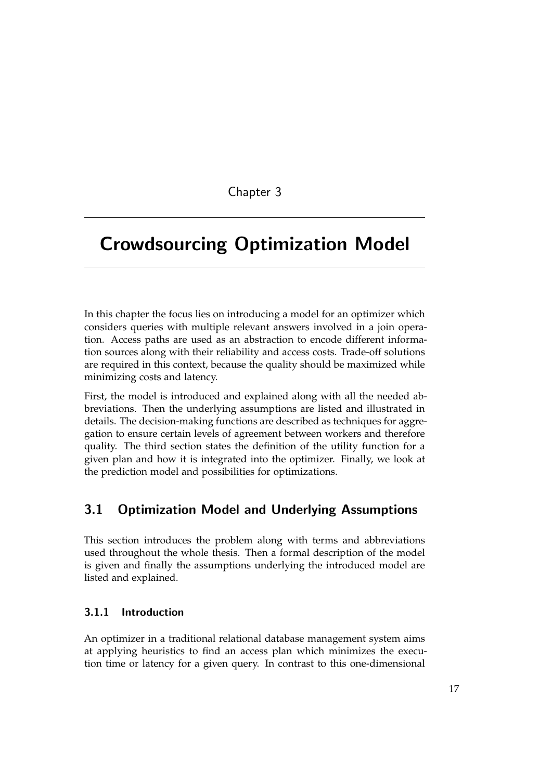## Chapter 3

# <span id="page-22-0"></span>Crowdsourcing Optimization Model

In this chapter the focus lies on introducing a model for an optimizer which considers queries with multiple relevant answers involved in a join operation. Access paths are used as an abstraction to encode different information sources along with their reliability and access costs. Trade-off solutions are required in this context, because the quality should be maximized while minimizing costs and latency.

First, the model is introduced and explained along with all the needed abbreviations. Then the underlying assumptions are listed and illustrated in details. The decision-making functions are described as techniques for aggregation to ensure certain levels of agreement between workers and therefore quality. The third section states the definition of the utility function for a given plan and how it is integrated into the optimizer. Finally, we look at the prediction model and possibilities for optimizations.

## <span id="page-22-1"></span>3.1 Optimization Model and Underlying Assumptions

This section introduces the problem along with terms and abbreviations used throughout the whole thesis. Then a formal description of the model is given and finally the assumptions underlying the introduced model are listed and explained.

## <span id="page-22-2"></span>3.1.1 Introduction

An optimizer in a traditional relational database management system aims at applying heuristics to find an access plan which minimizes the execution time or latency for a given query. In contrast to this one-dimensional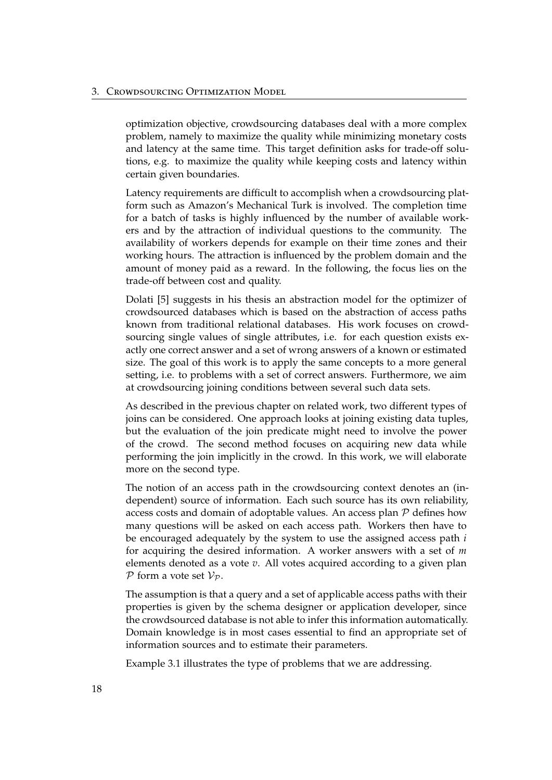optimization objective, crowdsourcing databases deal with a more complex problem, namely to maximize the quality while minimizing monetary costs and latency at the same time. This target definition asks for trade-off solutions, e.g. to maximize the quality while keeping costs and latency within certain given boundaries.

Latency requirements are difficult to accomplish when a crowdsourcing platform such as Amazon's Mechanical Turk is involved. The completion time for a batch of tasks is highly influenced by the number of available workers and by the attraction of individual questions to the community. The availability of workers depends for example on their time zones and their working hours. The attraction is influenced by the problem domain and the amount of money paid as a reward. In the following, the focus lies on the trade-off between cost and quality.

Dolati [\[5\]](#page-62-1) suggests in his thesis an abstraction model for the optimizer of crowdsourced databases which is based on the abstraction of access paths known from traditional relational databases. His work focuses on crowdsourcing single values of single attributes, i.e. for each question exists exactly one correct answer and a set of wrong answers of a known or estimated size. The goal of this work is to apply the same concepts to a more general setting, i.e. to problems with a set of correct answers. Furthermore, we aim at crowdsourcing joining conditions between several such data sets.

As described in the previous chapter on related work, two different types of joins can be considered. One approach looks at joining existing data tuples, but the evaluation of the join predicate might need to involve the power of the crowd. The second method focuses on acquiring new data while performing the join implicitly in the crowd. In this work, we will elaborate more on the second type.

The notion of an access path in the crowdsourcing context denotes an (independent) source of information. Each such source has its own reliability, access costs and domain of adoptable values. An access plan P defines how many questions will be asked on each access path. Workers then have to be encouraged adequately by the system to use the assigned access path *i* for acquiring the desired information. A worker answers with a set of *m* elements denoted as a vote *v*. All votes acquired according to a given plan  $P$  form a vote set  $V_P$ .

The assumption is that a query and a set of applicable access paths with their properties is given by the schema designer or application developer, since the crowdsourced database is not able to infer this information automatically. Domain knowledge is in most cases essential to find an appropriate set of information sources and to estimate their parameters.

<span id="page-23-0"></span>Example [3.1](#page-23-0) illustrates the type of problems that we are addressing.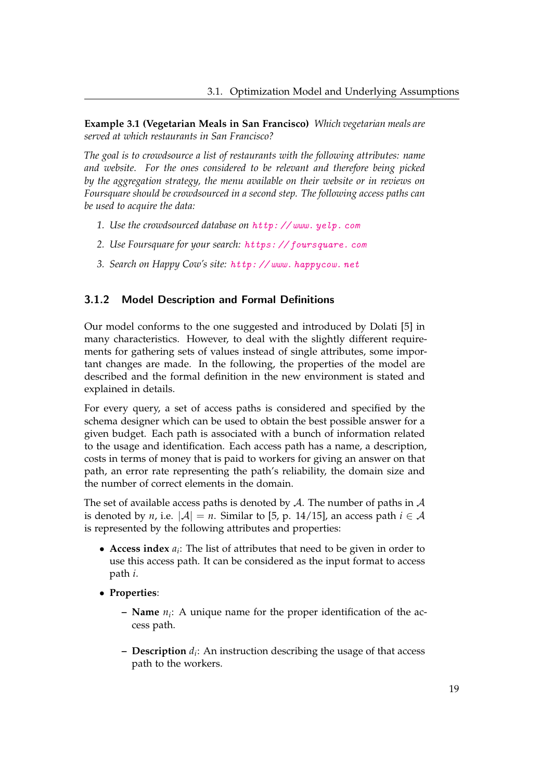**Example 3.1 (Vegetarian Meals in San Francisco)** *Which vegetarian meals are served at which restaurants in San Francisco?*

*The goal is to crowdsource a list of restaurants with the following attributes: name and website. For the ones considered to be relevant and therefore being picked by the aggregation strategy, the menu available on their website or in reviews on Foursquare should be crowdsourced in a second step. The following access paths can be used to acquire the data:*

- *1. Use the crowdsourced database on* [http: // www. yelp. com](http://www.yelp.com)
- *2. Use Foursquare for your search:* [https: // foursquare. com](https://foursquare.com)
- *3. Search on Happy Cow's site:* [http: // www. happycow. net](http://www.happycow.net)

### <span id="page-24-0"></span>3.1.2 Model Description and Formal Definitions

Our model conforms to the one suggested and introduced by Dolati [\[5\]](#page-62-1) in many characteristics. However, to deal with the slightly different requirements for gathering sets of values instead of single attributes, some important changes are made. In the following, the properties of the model are described and the formal definition in the new environment is stated and explained in details.

For every query, a set of access paths is considered and specified by the schema designer which can be used to obtain the best possible answer for a given budget. Each path is associated with a bunch of information related to the usage and identification. Each access path has a name, a description, costs in terms of money that is paid to workers for giving an answer on that path, an error rate representing the path's reliability, the domain size and the number of correct elements in the domain.

The set of available access paths is denoted by  $A$ . The number of paths in  $A$ is denoted by *n*, i.e.  $|A| = n$ . Similar to [\[5,](#page-62-1) p. 14/15], an access path  $i \in A$ is represented by the following attributes and properties:

- **Access index** *a<sup>i</sup>* : The list of attributes that need to be given in order to use this access path. It can be considered as the input format to access path *i*.
- **Properties**:
	- **– Name** *n<sup>i</sup>* : A unique name for the proper identification of the access path.
	- **– Description** *d<sup>i</sup>* : An instruction describing the usage of that access path to the workers.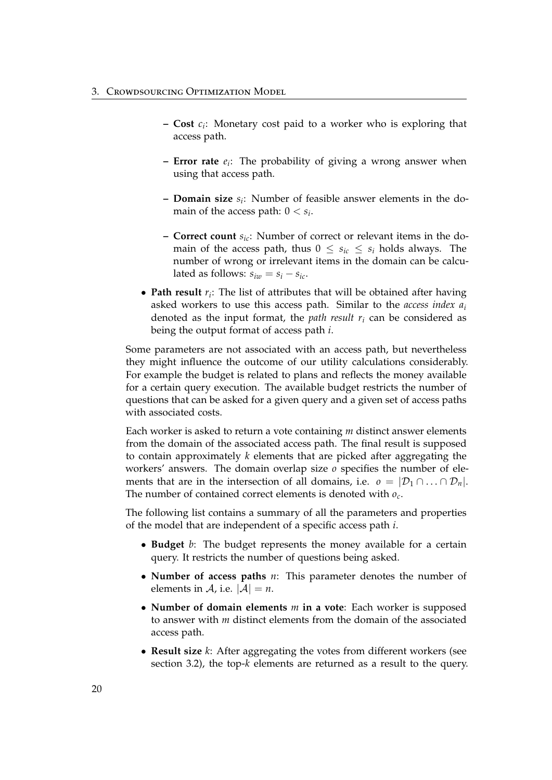- **– Cost** *c<sup>i</sup>* : Monetary cost paid to a worker who is exploring that access path.
- **– Error rate** *e<sup>i</sup>* : The probability of giving a wrong answer when using that access path.
- **– Domain size** *s<sup>i</sup>* : Number of feasible answer elements in the domain of the access path:  $0 < s_i$ .
- **– Correct count** *sic*: Number of correct or relevant items in the domain of the access path, thus  $0 \leq s_{ic} \leq s_i$  holds always. The number of wrong or irrelevant items in the domain can be calculated as follows:  $s_{iw} = s_i - s_{ic}$ .
- **Path result** *r<sup>i</sup>* : The list of attributes that will be obtained after having asked workers to use this access path. Similar to the *access index a<sup>i</sup>* denoted as the input format, the *path result r<sup>i</sup>* can be considered as being the output format of access path *i*.

Some parameters are not associated with an access path, but nevertheless they might influence the outcome of our utility calculations considerably. For example the budget is related to plans and reflects the money available for a certain query execution. The available budget restricts the number of questions that can be asked for a given query and a given set of access paths with associated costs.

Each worker is asked to return a vote containing *m* distinct answer elements from the domain of the associated access path. The final result is supposed to contain approximately *k* elements that are picked after aggregating the workers' answers. The domain overlap size *o* specifies the number of elements that are in the intersection of all domains, i.e.  $o = |\mathcal{D}_1 \cap ... \cap \mathcal{D}_n|$ . The number of contained correct elements is denoted with *o<sup>c</sup>* .

The following list contains a summary of all the parameters and properties of the model that are independent of a specific access path *i*.

- **Budget** *b*: The budget represents the money available for a certain query. It restricts the number of questions being asked.
- **Number of access paths** *n*: This parameter denotes the number of elements in A, i.e.  $|A| = n$ .
- **Number of domain elements** *m* **in a vote**: Each worker is supposed to answer with *m* distinct elements from the domain of the associated access path.
- **Result size** *k*: After aggregating the votes from different workers (see section [3.2\)](#page-31-0), the top-*k* elements are returned as a result to the query.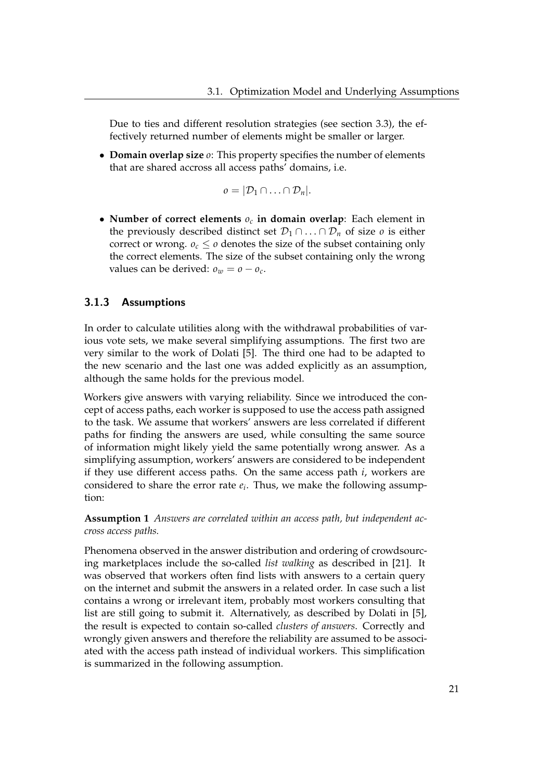Due to ties and different resolution strategies (see section [3.3\)](#page-33-1), the effectively returned number of elements might be smaller or larger.

• **Domain overlap size** *o*: This property specifies the number of elements that are shared accross all access paths' domains, i.e.

$$
o=|\mathcal{D}_1\cap\ldots\cap\mathcal{D}_n|.
$$

• **Number of correct elements** *o<sup>c</sup>* **in domain overlap**: Each element in the previously described distinct set  $\mathcal{D}_1 \cap \ldots \cap \mathcal{D}_n$  of size *o* is either correct or wrong.  $o_c \leq o$  denotes the size of the subset containing only the correct elements. The size of the subset containing only the wrong values can be derived:  $o_w = o - o_c$ .

### <span id="page-26-0"></span>3.1.3 Assumptions

In order to calculate utilities along with the withdrawal probabilities of various vote sets, we make several simplifying assumptions. The first two are very similar to the work of Dolati [\[5\]](#page-62-1). The third one had to be adapted to the new scenario and the last one was added explicitly as an assumption, although the same holds for the previous model.

Workers give answers with varying reliability. Since we introduced the concept of access paths, each worker is supposed to use the access path assigned to the task. We assume that workers' answers are less correlated if different paths for finding the answers are used, while consulting the same source of information might likely yield the same potentially wrong answer. As a simplifying assumption, workers' answers are considered to be independent if they use different access paths. On the same access path *i*, workers are considered to share the error rate *e<sup>i</sup>* . Thus, we make the following assumption:

<span id="page-26-1"></span>**Assumption 1** *Answers are correlated within an access path, but independent accross access paths.*

Phenomena observed in the answer distribution and ordering of crowdsourcing marketplaces include the so-called *list walking* as described in [\[21\]](#page-64-4). It was observed that workers often find lists with answers to a certain query on the internet and submit the answers in a related order. In case such a list contains a wrong or irrelevant item, probably most workers consulting that list are still going to submit it. Alternatively, as described by Dolati in [\[5\]](#page-62-1), the result is expected to contain so-called *clusters of answers*. Correctly and wrongly given answers and therefore the reliability are assumed to be associated with the access path instead of individual workers. This simplification is summarized in the following assumption.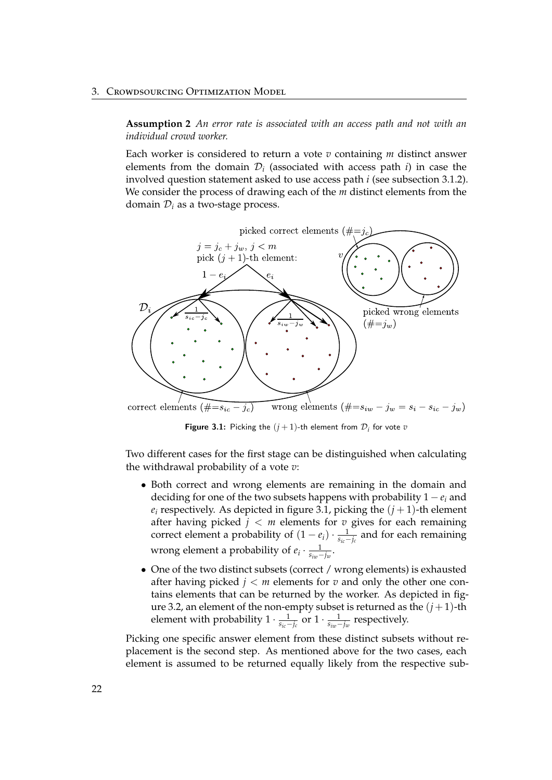#### 3. Crowdsourcing Optimization Model

**Assumption 2** *An error rate is associated with an access path and not with an individual crowd worker.*

Each worker is considered to return a vote *v* containing *m* distinct answer elements from the domain  $\mathcal{D}_i$  (associated with access path  $i$ ) in case the involved question statement asked to use access path *i* (see subsection [3.1.2\)](#page-24-0). We consider the process of drawing each of the *m* distinct elements from the domain D*<sup>i</sup>* as a two-stage process.



<span id="page-27-0"></span>**Figure 3.1:** Picking the  $(j + 1)$ -th element from  $\mathcal{D}_i$  for vote  $v$ 

Two different cases for the first stage can be distinguished when calculating the withdrawal probability of a vote *v*:

- Both correct and wrong elements are remaining in the domain and deciding for one of the two subsets happens with probability  $1 - e_i$  and  $e_i$  respectively. As depicted in figure [3.1,](#page-27-0) picking the  $(j + 1)$ -th element after having picked  $j < m$  elements for  $v$  gives for each remaining correct element a probability of  $(1 - e_i) \cdot \frac{1}{s_{ic} - j_c}$  and for each remaining wrong element a probability of  $e_i \cdot \frac{1}{s_{iw} - j_w}$ .
- One of the two distinct subsets (correct / wrong elements) is exhausted after having picked  $j < m$  elements for  $v$  and only the other one contains elements that can be returned by the worker. As depicted in fig-ure [3.2,](#page-28-0) an element of the non-empty subset is returned as the  $(j+1)$ -th element with probability  $1 \cdot \frac{1}{s_{ic} - j_c}$  or  $1 \cdot \frac{1}{s_{iw} - j_w}$  respectively.

Picking one specific answer element from these distinct subsets without replacement is the second step. As mentioned above for the two cases, each element is assumed to be returned equally likely from the respective sub-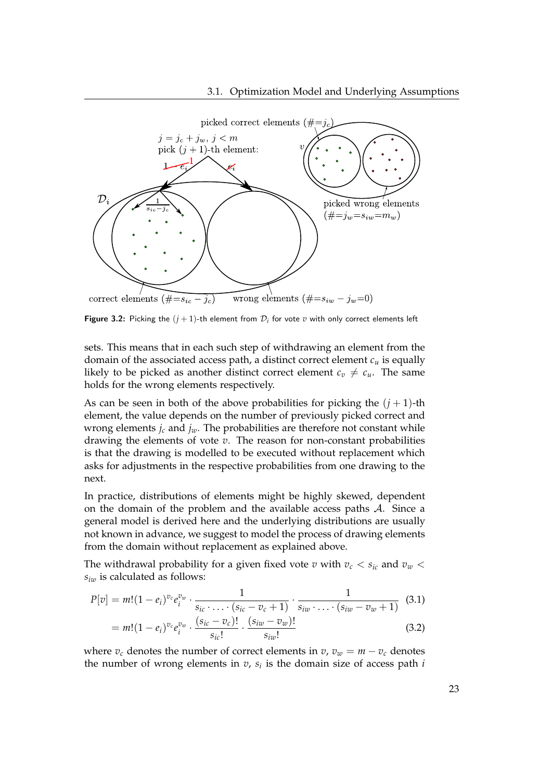

<span id="page-28-0"></span>**Figure 3.2:** Picking the  $(j+1)$ -th element from  $\mathcal{D}_i$  for vote  $v$  with only correct elements left

sets. This means that in each such step of withdrawing an element from the domain of the associated access path, a distinct correct element  $c<sub>u</sub>$  is equally likely to be picked as another distinct correct element  $c_v \neq c_u$ . The same holds for the wrong elements respectively.

As can be seen in both of the above probabilities for picking the  $(j + 1)$ -th element, the value depends on the number of previously picked correct and wrong elements  $j_c$  and  $j_w$ . The probabilities are therefore not constant while drawing the elements of vote *v*. The reason for non-constant probabilities is that the drawing is modelled to be executed without replacement which asks for adjustments in the respective probabilities from one drawing to the next.

In practice, distributions of elements might be highly skewed, dependent on the domain of the problem and the available access paths A. Since a general model is derived here and the underlying distributions are usually not known in advance, we suggest to model the process of drawing elements from the domain without replacement as explained above.

The withdrawal probability for a given fixed vote *v* with  $v_c < s_{ic}$  and  $v_w <$ *siw* is calculated as follows:

<span id="page-28-1"></span>
$$
P[v] = m! (1 - e_i)^{v_c} e_i^{v_w} \cdot \frac{1}{s_{ic} \cdot \ldots \cdot (s_{ic} - v_c + 1)} \cdot \frac{1}{s_{iw} \cdot \ldots \cdot (s_{iw} - v_w + 1)} \quad (3.1)
$$
  
= 
$$
m! (1 - e_i)^{v_c} e_i^{v_w} \cdot \frac{(s_{ic} - v_c)!}{s_{ic}!} \cdot \frac{(s_{iw} - v_w)!}{s_{iw}!}
$$
 (3.2)

where  $v_c$  denotes the number of correct elements in  $v$ ,  $v_w = m - v_c$  denotes the number of wrong elements in *v*, *s<sup>i</sup>* is the domain size of access path *i*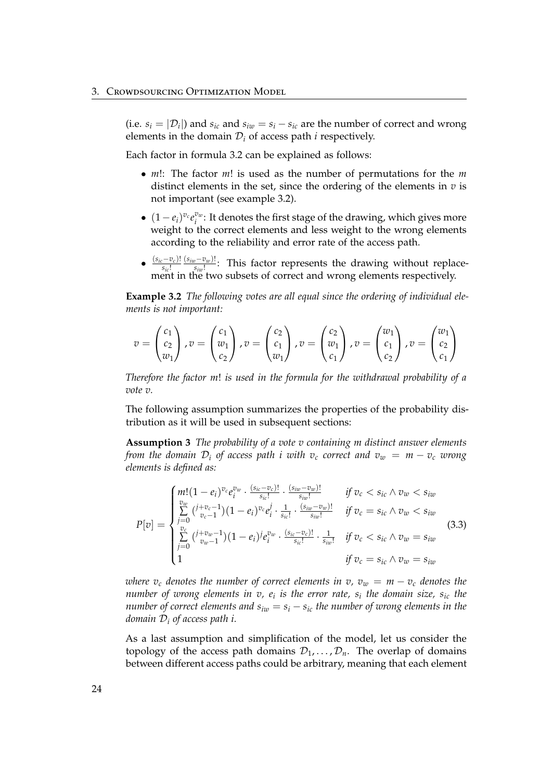(i.e.  $s_i = |\mathcal{D}_i|$ ) and  $s_{ic}$  and  $s_{iw} = s_i - s_{ic}$  are the number of correct and wrong elements in the domain  $D_i$  of access path  $i$  respectively.

Each factor in formula [3.2](#page-28-1) can be explained as follows:

- *m*!: The factor *m*! is used as the number of permutations for the *m* distinct elements in the set, since the ordering of the elements in  $v$  is not important (see example [3.2\)](#page-29-0).
- $(1-e_i)^{v_c} e_i^{v_w}$  $e_i^{\omega_v}$ : It denotes the first stage of the drawing, which gives more weight to the correct elements and less weight to the wrong elements according to the reliability and error rate of the access path.
- (*sic*−*v<sup>c</sup>* )! *sic* ! (*siw*−*vw*)!  $\frac{y - v_{w}}{s_{iw}!}$ : This factor represents the drawing without replacement in the two subsets of correct and wrong elements respectively.

<span id="page-29-0"></span>**Example 3.2** *The following votes are all equal since the ordering of individual elements is not important:*

$$
v = \begin{pmatrix} c_1 \\ c_2 \\ w_1 \end{pmatrix}, v = \begin{pmatrix} c_1 \\ w_1 \\ c_2 \end{pmatrix}, v = \begin{pmatrix} c_2 \\ c_1 \\ w_1 \end{pmatrix}, v = \begin{pmatrix} c_2 \\ w_1 \\ c_1 \end{pmatrix}, v = \begin{pmatrix} w_1 \\ c_1 \\ c_2 \end{pmatrix}, v = \begin{pmatrix} w_1 \\ c_2 \\ c_1 \end{pmatrix}
$$

*Therefore the factor m*! *is used in the formula for the withdrawal probability of a vote v.*

The following assumption summarizes the properties of the probability distribution as it will be used in subsequent sections:

**Assumption 3** *The probability of a vote v containing m distinct answer elements from the domain*  $D_i$  *of access path i with*  $v_c$  *correct and*  $v_w = m - v_c$  *wrong elements is defined as:*

<span id="page-29-1"></span>
$$
P[v] = \begin{cases} m! (1 - e_i)^{v_c} e_i^{v_w} \cdot \frac{(s_{ic} - v_c)!}{s_{ic}!} \cdot \frac{(s_{iw} - v_w)!}{s_{iw}!} & \text{if } v_c < s_{ic} \land v_w < s_{iw} \\ \sum_{j=0}^{v_w} \left( \frac{j + v_c - 1}{v_c - 1} \right) (1 - e_i)^{v_c} e_i^j \cdot \frac{1}{s_{ic}!} \cdot \frac{(s_{iw} - v_w)!}{s_{iw}!} & \text{if } v_c = s_{ic} \land v_w < s_{iw} \\ \sum_{j=0}^{v_c} \left( \frac{j + v_w - 1}{v_w - 1} \right) (1 - e_i)^j e_i^{v_w} \cdot \frac{(s_{ic} - v_c)!}{s_{ic}!} \cdot \frac{1}{s_{iw}!} & \text{if } v_c < s_{ic} \land v_w = s_{iw} \\ 1 & \text{if } v_c = s_{ic} \land v_w = s_{iw} \end{cases} \tag{3.3}
$$

*where v<sub>c</sub> denotes the number of correct elements in v,*  $v_w = m - v_c$  *denotes the number of wrong elements in v, e<sup>i</sup> is the error rate, s<sup>i</sup> the domain size, sic the number of correct elements and*  $s_{iw} = s_i - s_{ic}$  *the number of wrong elements in the domain* D*<sup>i</sup> of access path i.*

As a last assumption and simplification of the model, let us consider the topology of the access path domains  $\mathcal{D}_1, \ldots, \mathcal{D}_n$ . The overlap of domains between different access paths could be arbitrary, meaning that each element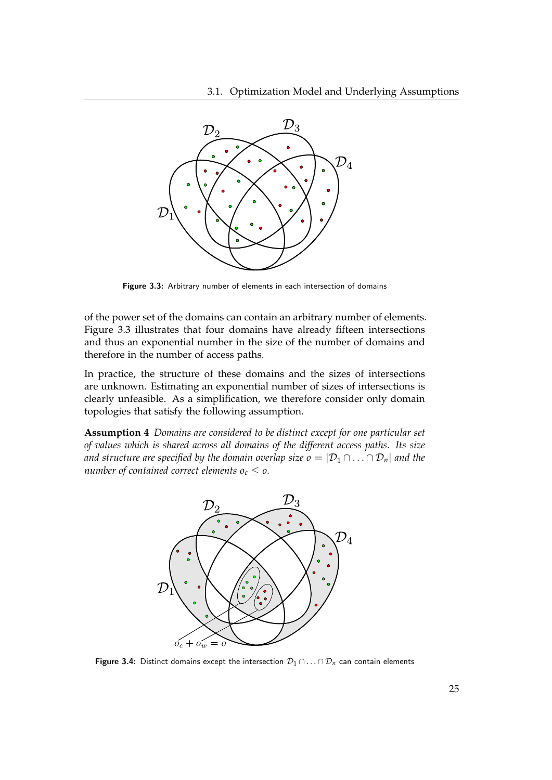

<span id="page-30-0"></span>Figure 3.3: Arbitrary number of elements in each intersection of domains

of the power set of the domains can contain an arbitrary number of elements. Figure [3.3](#page-30-0) illustrates that four domains have already fifteen intersections and thus an exponential number in the size of the number of domains and therefore in the number of access paths.

In practice, the structure of these domains and the sizes of intersections are unknown. Estimating an exponential number of sizes of intersections is clearly unfeasible. As a simplification, we therefore consider only domain topologies that satisfy the following assumption.

**Assumption 4** *Domains are considered to be distinct except for one particular set of values which is shared across all domains of the different access paths. Its size and structure are specified by the domain overlap size o* =  $|\mathcal{D}_1 \cap \ldots \cap \mathcal{D}_n|$  *and the number of contained correct elements*  $o_c \leq o$ .



<span id="page-30-1"></span>Figure 3.4: Distinct domains except the intersection  $\mathcal{D}_1 \cap \ldots \cap \mathcal{D}_n$  can contain elements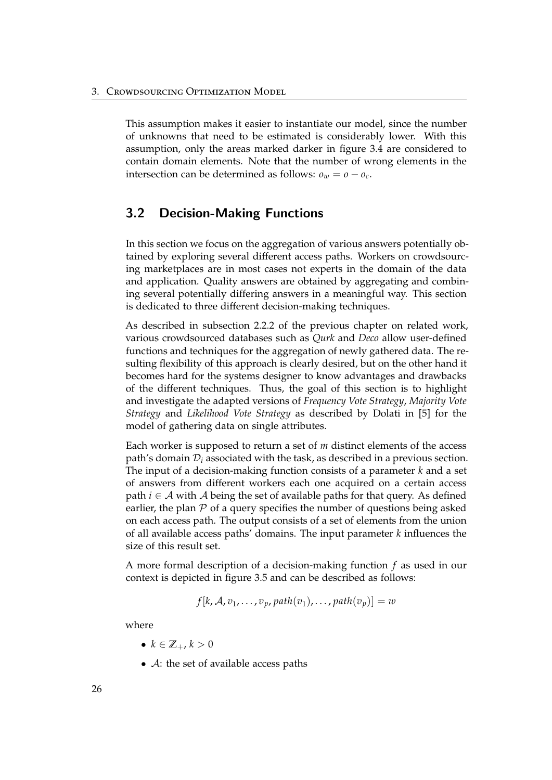This assumption makes it easier to instantiate our model, since the number of unknowns that need to be estimated is considerably lower. With this assumption, only the areas marked darker in figure [3.4](#page-30-1) are considered to contain domain elements. Note that the number of wrong elements in the intersection can be determined as follows:  $o_w = o - o_c$ .

## <span id="page-31-0"></span>3.2 Decision-Making Functions

In this section we focus on the aggregation of various answers potentially obtained by exploring several different access paths. Workers on crowdsourcing marketplaces are in most cases not experts in the domain of the data and application. Quality answers are obtained by aggregating and combining several potentially differing answers in a meaningful way. This section is dedicated to three different decision-making techniques.

As described in subsection [2.2.2](#page-15-0) of the previous chapter on related work, various crowdsourced databases such as *Qurk* and *Deco* allow user-defined functions and techniques for the aggregation of newly gathered data. The resulting flexibility of this approach is clearly desired, but on the other hand it becomes hard for the systems designer to know advantages and drawbacks of the different techniques. Thus, the goal of this section is to highlight and investigate the adapted versions of *Frequency Vote Strategy*, *Majority Vote Strategy* and *Likelihood Vote Strategy* as described by Dolati in [\[5\]](#page-62-1) for the model of gathering data on single attributes.

Each worker is supposed to return a set of *m* distinct elements of the access path's domain D*<sup>i</sup>* associated with the task, as described in a previous section. The input of a decision-making function consists of a parameter *k* and a set of answers from different workers each one acquired on a certain access path  $i \in A$  with A being the set of available paths for that query. As defined earlier, the plan  $P$  of a query specifies the number of questions being asked on each access path. The output consists of a set of elements from the union of all available access paths' domains. The input parameter *k* influences the size of this result set.

A more formal description of a decision-making function *f* as used in our context is depicted in figure [3.5](#page-32-1) and can be described as follows:

$$
f[k, A, v_1, \ldots, v_p, path(v_1), \ldots, path(v_p)] = w
$$

where

- $k \in \mathbb{Z}_+$ ,  $k > 0$
- $\mathcal{A}$ : the set of available access paths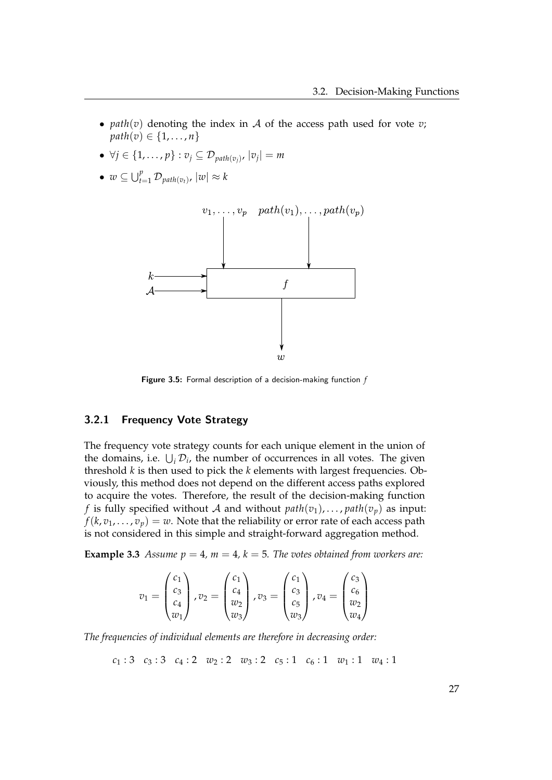- *path* $(v)$  denoting the index in A of the access path used for vote *v*; *path*(*v*)  $\in \{1, ..., n\}$
- $\bullet$  ∀ $j \in \{1, \ldots, p\} : v_j \subseteq \mathcal{D}_{path(v_j)}, |v_j| = m$
- $w \subseteq \bigcup_{t=1}^p \mathcal{D}_{path(v_t)}, |w| \approx k$



<span id="page-32-1"></span>Figure 3.5: Formal description of a decision-making function *f*

## <span id="page-32-0"></span>3.2.1 Frequency Vote Strategy

The frequency vote strategy counts for each unique element in the union of the domains, i.e.  $\bigcup_i \mathcal{D}_i$ , the number of occurrences in all votes. The given threshold *k* is then used to pick the *k* elements with largest frequencies. Obviously, this method does not depend on the different access paths explored to acquire the votes. Therefore, the result of the decision-making function *f* is fully specified without A and without  $path(v_1), \ldots, path(v_p)$  as input:  $f(k, v_1, \ldots, v_p) = w$ . Note that the reliability or error rate of each access path is not considered in this simple and straight-forward aggregation method.

<span id="page-32-2"></span>**Example 3.3** *Assume*  $p = 4$ *,*  $m = 4$ *,*  $k = 5$ *. The votes obtained from workers are:* 

$$
v_1 = \begin{pmatrix} c_1 \\ c_3 \\ c_4 \\ w_1 \end{pmatrix}, v_2 = \begin{pmatrix} c_1 \\ c_4 \\ w_2 \\ w_3 \end{pmatrix}, v_3 = \begin{pmatrix} c_1 \\ c_3 \\ c_5 \\ w_3 \end{pmatrix}, v_4 = \begin{pmatrix} c_3 \\ c_6 \\ w_2 \\ w_4 \end{pmatrix}
$$

*The frequencies of individual elements are therefore in decreasing order:*

$$
c_1:3\quad c_3:3\quad c_4:2\quad w_2:2\quad w_3:2\quad c_5:1\quad c_6:1\quad w_1:1\quad w_4:1
$$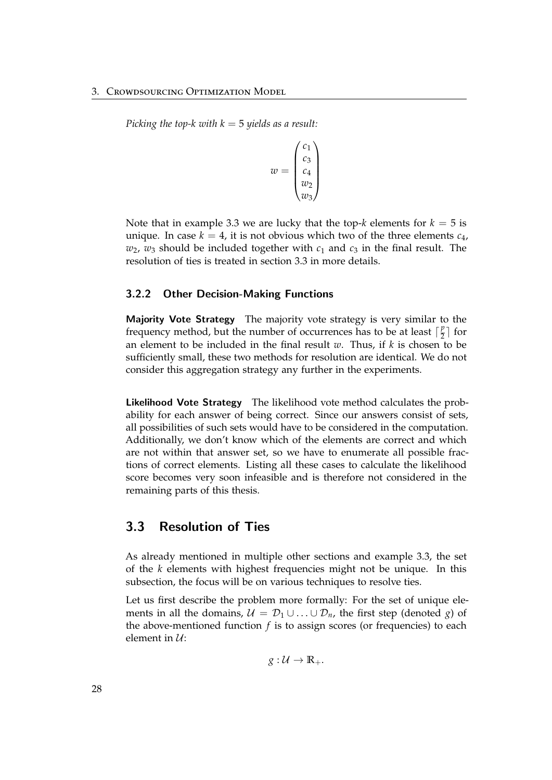#### 3. Crowdsourcing Optimization Model

*Picking the top-k with k* = 5 *yields as a result:*

$$
w = \begin{pmatrix} c_1 \\ c_3 \\ c_4 \\ w_2 \\ w_3 \end{pmatrix}
$$

Note that in example [3.3](#page-32-2) we are lucky that the top- $k$  elements for  $k = 5$  is unique. In case  $k = 4$ , it is not obvious which two of the three elements  $c_4$ ,  $w_2$ ,  $w_3$  should be included together with  $c_1$  and  $c_3$  in the final result. The resolution of ties is treated in section [3.3](#page-33-1) in more details.

#### <span id="page-33-0"></span>3.2.2 Other Decision-Making Functions

Majority Vote Strategy The majority vote strategy is very similar to the frequency method, but the number of occurrences has to be at least  $\lceil \frac{p}{2} \rceil$  $\frac{p}{2}$  for an element to be included in the final result *w*. Thus, if *k* is chosen to be sufficiently small, these two methods for resolution are identical. We do not consider this aggregation strategy any further in the experiments.

Likelihood Vote Strategy The likelihood vote method calculates the probability for each answer of being correct. Since our answers consist of sets, all possibilities of such sets would have to be considered in the computation. Additionally, we don't know which of the elements are correct and which are not within that answer set, so we have to enumerate all possible fractions of correct elements. Listing all these cases to calculate the likelihood score becomes very soon infeasible and is therefore not considered in the remaining parts of this thesis.

## <span id="page-33-1"></span>3.3 Resolution of Ties

As already mentioned in multiple other sections and example [3.3,](#page-32-2) the set of the *k* elements with highest frequencies might not be unique. In this subsection, the focus will be on various techniques to resolve ties.

Let us first describe the problem more formally: For the set of unique elements in all the domains,  $U = D_1 \cup ... \cup D_n$ , the first step (denoted *g*) of the above-mentioned function *f* is to assign scores (or frequencies) to each element in  $\mathcal{U}$ :

 $g: \mathcal{U} \to \mathbb{R}_+$ .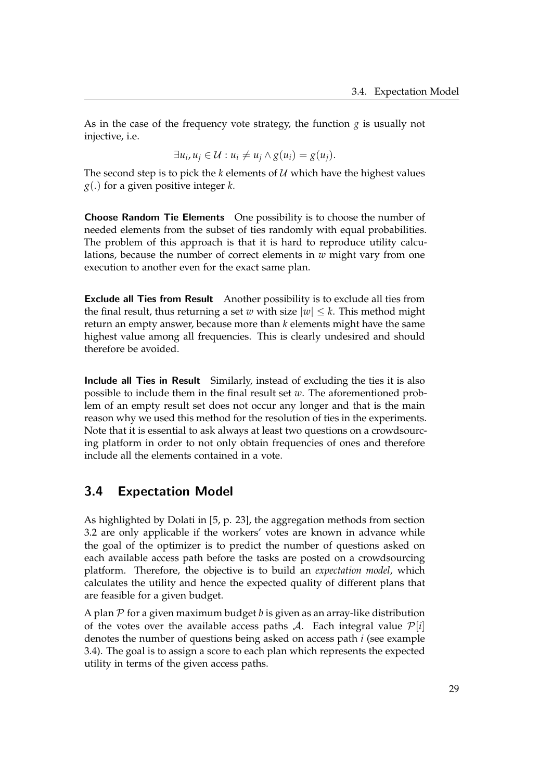As in the case of the frequency vote strategy, the function  $g$  is usually not injective, i.e.

$$
\exists u_i, u_j \in \mathcal{U} : u_i \neq u_j \wedge g(u_i) = g(u_j).
$$

The second step is to pick the  $k$  elements of  $U$  which have the highest values *g*(.) for a given positive integer *k*.

Choose Random Tie Elements One possibility is to choose the number of needed elements from the subset of ties randomly with equal probabilities. The problem of this approach is that it is hard to reproduce utility calculations, because the number of correct elements in *w* might vary from one execution to another even for the exact same plan.

Exclude all Ties from Result Another possibility is to exclude all ties from the final result, thus returning a set *w* with size  $|w| \leq k$ . This method might return an empty answer, because more than *k* elements might have the same highest value among all frequencies. This is clearly undesired and should therefore be avoided.

Include all Ties in Result Similarly, instead of excluding the ties it is also possible to include them in the final result set *w*. The aforementioned problem of an empty result set does not occur any longer and that is the main reason why we used this method for the resolution of ties in the experiments. Note that it is essential to ask always at least two questions on a crowdsourcing platform in order to not only obtain frequencies of ones and therefore include all the elements contained in a vote.

## <span id="page-34-0"></span>3.4 Expectation Model

As highlighted by Dolati in [\[5,](#page-62-1) p. 23], the aggregation methods from section [3.2](#page-31-0) are only applicable if the workers' votes are known in advance while the goal of the optimizer is to predict the number of questions asked on each available access path before the tasks are posted on a crowdsourcing platform. Therefore, the objective is to build an *expectation model*, which calculates the utility and hence the expected quality of different plans that are feasible for a given budget.

<span id="page-34-1"></span>A plan  $P$  for a given maximum budget *b* is given as an array-like distribution of the votes over the available access paths  $\mathcal{A}$ . Each integral value  $\mathcal{P}[i]$ denotes the number of questions being asked on access path *i* (see example [3.4\)](#page-34-1). The goal is to assign a score to each plan which represents the expected utility in terms of the given access paths.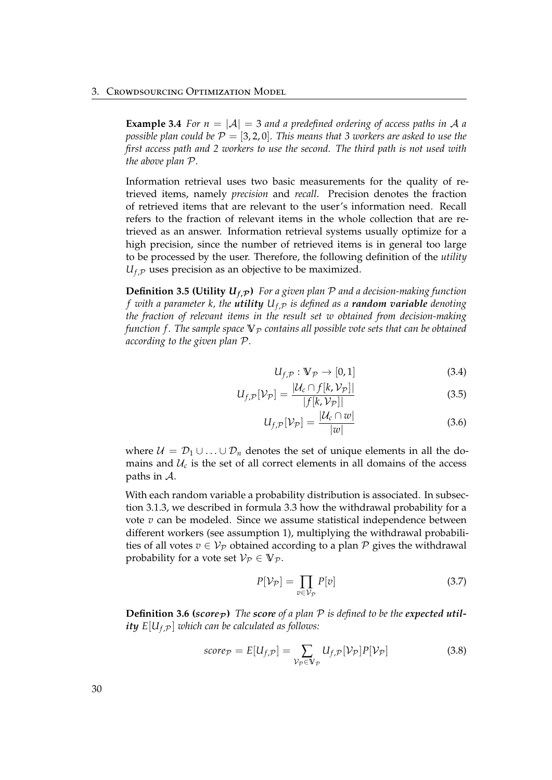**Example 3.4** *For n* =  $|A|$  = 3 *and a predefined ordering of access paths in* A *a possible plan could be*  $P = \{3, 2, 0\}$ *. This means that 3 workers are asked to use the first access path and 2 workers to use the second. The third path is not used with the above plan* P*.*

Information retrieval uses two basic measurements for the quality of retrieved items, namely *precision* and *recall*. Precision denotes the fraction of retrieved items that are relevant to the user's information need. Recall refers to the fraction of relevant items in the whole collection that are retrieved as an answer. Information retrieval systems usually optimize for a high precision, since the number of retrieved items is in general too large to be processed by the user. Therefore, the following definition of the *utility*  $U_{f,P}$  uses precision as an objective to be maximized.

**Definition 3.5 (Utility**  $U_{f,P}$ **)** For a given plan P and a decision-making function *f* with a parameter k, the **utility**  $U_{f,P}$  is defined as a *random variable* denoting *the fraction of relevant items in the result set w obtained from decision-making function f. The sample space*  $\nabla$ *p contains all possible vote sets that can be obtained according to the given plan* P*.*

$$
U_{f,\mathcal{P}}: \mathbb{V}_{\mathcal{P}} \to [0,1] \tag{3.4}
$$

$$
U_{f,\mathcal{P}}[\mathcal{V}_{\mathcal{P}}] = \frac{|\mathcal{U}_c \cap f[k,\mathcal{V}_{\mathcal{P}}]|}{|f[k,\mathcal{V}_{\mathcal{P}}]|} \tag{3.5}
$$

$$
U_{f,\mathcal{P}}[\mathcal{V}_{\mathcal{P}}] = \frac{|\mathcal{U}_c \cap w|}{|w|} \tag{3.6}
$$

where  $U = D_1 \cup ... \cup D_n$  denotes the set of unique elements in all the domains and  $\mathcal{U}_c$  is the set of all correct elements in all domains of the access paths in A.

With each random variable a probability distribution is associated. In subsection [3.1.3,](#page-26-0) we described in formula [3.3](#page-29-1) how the withdrawal probability for a vote *v* can be modeled. Since we assume statistical independence between different workers (see assumption [1\)](#page-26-1), multiplying the withdrawal probabilities of all votes  $v \in V_{\mathcal{P}}$  obtained according to a plan  $\mathcal P$  gives the withdrawal probability for a vote set  $\mathcal{V}_{\mathcal{P}} \in \mathbb{V}_{\mathcal{P}}$ .

<span id="page-35-1"></span><span id="page-35-0"></span>
$$
P[\mathcal{V}_{\mathcal{P}}] = \prod_{v \in \mathcal{V}_{\mathcal{P}}} P[v] \tag{3.7}
$$

**Definition 3.6 (***score* $_P$ ) The *score* of a plan  $P$  is defined to be the expected util*ity*  $E[U_{f,p}]$  *which can be calculated as follows:* 

$$
score_{\mathcal{P}} = E[U_{f,\mathcal{P}}] = \sum_{\mathcal{V}_{\mathcal{P}} \in \mathbb{V}_{\mathcal{P}}} U_{f,\mathcal{P}}[\mathcal{V}_{\mathcal{P}}]P[\mathcal{V}_{\mathcal{P}}]
$$
(3.8)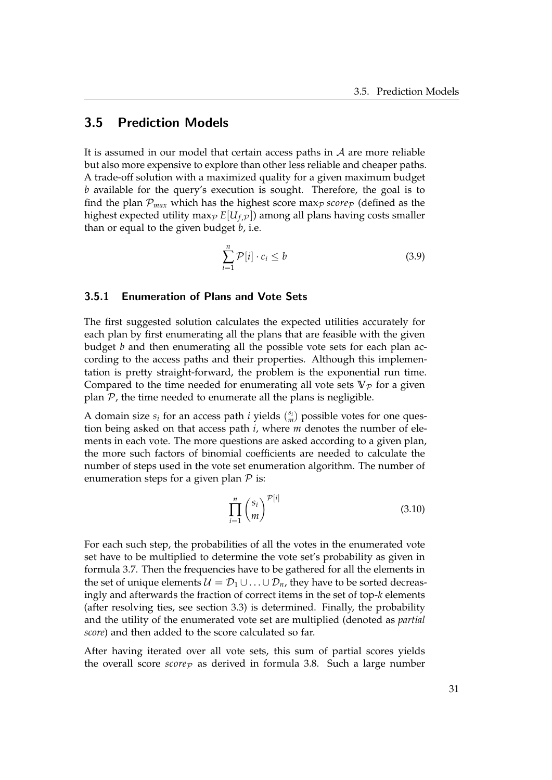## <span id="page-36-0"></span>3.5 Prediction Models

It is assumed in our model that certain access paths in  $A$  are more reliable but also more expensive to explore than other less reliable and cheaper paths. A trade-off solution with a maximized quality for a given maximum budget *b* available for the query's execution is sought. Therefore, the goal is to find the plan  $\mathcal{P}_{max}$  which has the highest score max<sub>p</sub> score<sub>p</sub> (defined as the highest expected utility max $_P E[U_{f,P}]$ ) among all plans having costs smaller than or equal to the given budget *b*, i.e.

$$
\sum_{i=1}^{n} \mathcal{P}[i] \cdot c_i \le b \tag{3.9}
$$

#### <span id="page-36-1"></span>3.5.1 Enumeration of Plans and Vote Sets

The first suggested solution calculates the expected utilities accurately for each plan by first enumerating all the plans that are feasible with the given budget *b* and then enumerating all the possible vote sets for each plan according to the access paths and their properties. Although this implementation is pretty straight-forward, the problem is the exponential run time. Compared to the time needed for enumerating all vote sets  $\nabla_p$  for a given plan  $P$ , the time needed to enumerate all the plans is negligible.

A domain size  $s_i$  for an access path *i* yields  $\binom{s_i}{m}$  possible votes for one question being asked on that access path *i*, where *m* denotes the number of elements in each vote. The more questions are asked according to a given plan, the more such factors of binomial coefficients are needed to calculate the number of steps used in the vote set enumeration algorithm. The number of enumeration steps for a given plan  $P$  is:

$$
\prod_{i=1}^{n} \binom{s_i}{m}^{\mathcal{P}[i]}
$$
\n(3.10)

For each such step, the probabilities of all the votes in the enumerated vote set have to be multiplied to determine the vote set's probability as given in formula [3.7.](#page-35-0) Then the frequencies have to be gathered for all the elements in the set of unique elements  $U = D_1 \cup ... \cup D_n$ , they have to be sorted decreasingly and afterwards the fraction of correct items in the set of top-*k* elements (after resolving ties, see section [3.3\)](#page-33-1) is determined. Finally, the probability and the utility of the enumerated vote set are multiplied (denoted as *partial score*) and then added to the score calculated so far.

After having iterated over all vote sets, this sum of partial scores yields the overall score  $score_{\mathcal{P}}$  as derived in formula [3.8.](#page-35-1) Such a large number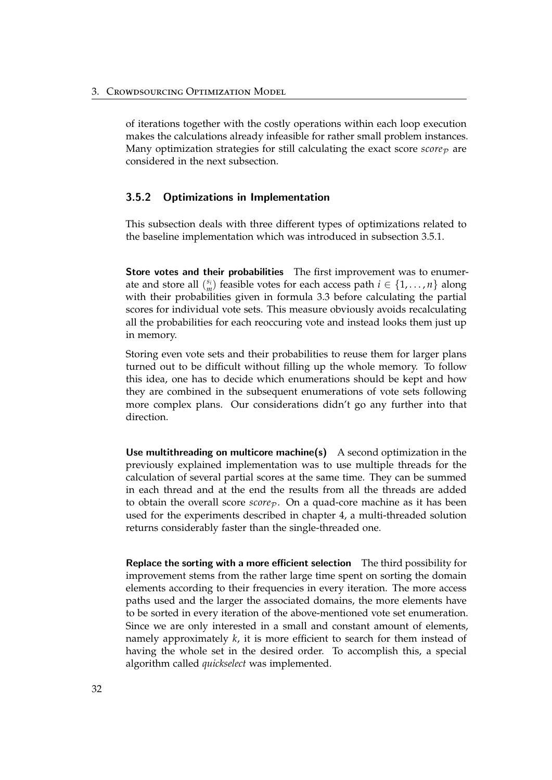of iterations together with the costly operations within each loop execution makes the calculations already infeasible for rather small problem instances. Many optimization strategies for still calculating the exact score  $score_{\mathcal{P}}$  are considered in the next subsection.

## <span id="page-37-0"></span>3.5.2 Optimizations in Implementation

This subsection deals with three different types of optimizations related to the baseline implementation which was introduced in subsection [3.5.1.](#page-36-1)

Store votes and their probabilities The first improvement was to enumerate and store all  $\binom{s_i}{m}$  feasible votes for each access path  $i \in \{1, ..., n\}$  along with their probabilities given in formula [3.3](#page-29-1) before calculating the partial scores for individual vote sets. This measure obviously avoids recalculating all the probabilities for each reoccuring vote and instead looks them just up in memory.

Storing even vote sets and their probabilities to reuse them for larger plans turned out to be difficult without filling up the whole memory. To follow this idea, one has to decide which enumerations should be kept and how they are combined in the subsequent enumerations of vote sets following more complex plans. Our considerations didn't go any further into that direction.

Use multithreading on multicore machine(s) A second optimization in the previously explained implementation was to use multiple threads for the calculation of several partial scores at the same time. They can be summed in each thread and at the end the results from all the threads are added to obtain the overall score *score*<sub>P</sub>. On a quad-core machine as it has been used for the experiments described in chapter [4,](#page-42-0) a multi-threaded solution returns considerably faster than the single-threaded one.

Replace the sorting with a more efficient selection The third possibility for improvement stems from the rather large time spent on sorting the domain elements according to their frequencies in every iteration. The more access paths used and the larger the associated domains, the more elements have to be sorted in every iteration of the above-mentioned vote set enumeration. Since we are only interested in a small and constant amount of elements, namely approximately *k*, it is more efficient to search for them instead of having the whole set in the desired order. To accomplish this, a special algorithm called *quickselect* was implemented.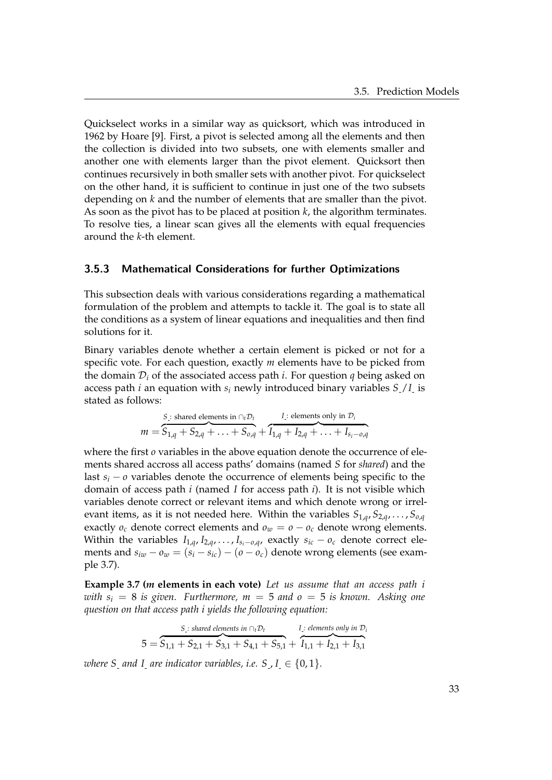Quickselect works in a similar way as quicksort, which was introduced in 1962 by Hoare [\[9\]](#page-63-11). First, a pivot is selected among all the elements and then the collection is divided into two subsets, one with elements smaller and another one with elements larger than the pivot element. Quicksort then continues recursively in both smaller sets with another pivot. For quickselect on the other hand, it is sufficient to continue in just one of the two subsets depending on *k* and the number of elements that are smaller than the pivot. As soon as the pivot has to be placed at position *k*, the algorithm terminates. To resolve ties, a linear scan gives all the elements with equal frequencies around the *k*-th element.

### <span id="page-38-0"></span>3.5.3 Mathematical Considerations for further Optimizations

This subsection deals with various considerations regarding a mathematical formulation of the problem and attempts to tackle it. The goal is to state all the conditions as a system of linear equations and inequalities and then find solutions for it.

Binary variables denote whether a certain element is picked or not for a specific vote. For each question, exactly *m* elements have to be picked from the domain  $\mathcal{D}_i$  of the associated access path *i*. For question *q* being asked on access path *i* an equation with  $s_i$  newly introduced binary variables  $S/I$  is stated as follows:

$$
m = \overbrace{S_{1,q} + S_{2,q} + \ldots + S_{0,q}}^{S_{\perp}:\text{shared elements in }\cap_i \mathcal{D}_t} + \overbrace{I_{1,q} + I_{2,q} + \ldots + I_{s_i - o,q}}^{I_{\perp}:\text{ elements only in }\mathcal{D}_i}
$$

where the first *o* variables in the above equation denote the occurrence of elements shared accross all access paths' domains (named *S* for *shared*) and the last  $s_i$  − *o* variables denote the occurrence of elements being specific to the domain of access path *i* (named *I* for access path *i*). It is not visible which variables denote correct or relevant items and which denote wrong or irrelevant items, as it is not needed here. Within the variables  $S_{1,q}$ ,  $S_{2,q}$ , . . . ,  $S_{0,q}$ exactly  $o_c$  denote correct elements and  $o_w = o - o_c$  denote wrong elements. Within the variables  $I_{1,q}$ ,  $I_{2,q}$ , ...,  $I_{s_i - o,q}$ , exactly  $s_{ic} - o_c$  denote correct elements and  $s_{iw} - o_w = (s_i - s_{ic}) - (o - o_c)$  denote wrong elements (see example [3.7\)](#page-38-1).

<span id="page-38-1"></span>**Example 3.7 (***m* **elements in each vote)** *Let us assume that an access path i with*  $s_i = 8$  *is given.* Furthermore,  $m = 5$  and  $o = 5$  *is known.* Asking one *question on that access path i yields the following equation:*

$$
5 = \overbrace{S_{1,1} + S_{2,1} + S_{3,1} + S_{4,1} + S_{5,1}}^{S_{\perp}:\text{ shared elements in }\cap_{t} \mathcal{D}_{t}}^{I_{\perp}:\text{ elements only in }\mathcal{D}_{t}}^{I_{\perp}:\text{ elements only in }\mathcal{D}_{t}}
$$

*where S* and *I* are indicator variables, i.e. *S*,  $I \in \{0, 1\}$ .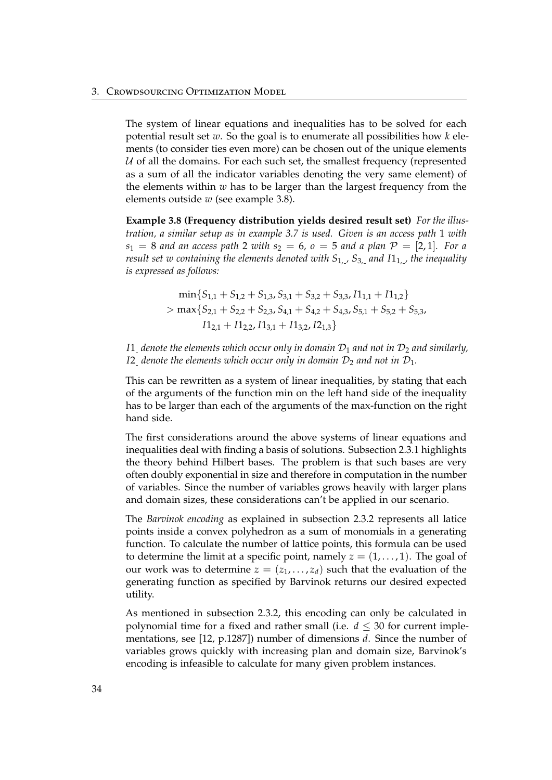The system of linear equations and inequalities has to be solved for each potential result set *w*. So the goal is to enumerate all possibilities how *k* elements (to consider ties even more) can be chosen out of the unique elements  $U$  of all the domains. For each such set, the smallest frequency (represented as a sum of all the indicator variables denoting the very same element) of the elements within *w* has to be larger than the largest frequency from the elements outside *w* (see example [3.8\)](#page-39-0).

<span id="page-39-0"></span>**Example 3.8 (Frequency distribution yields desired result set)** *For the illustration, a similar setup as in example [3.7](#page-38-1) is used. Given is an access path* 1 *with*  $s_1 = 8$  *and an access path* 2 *with*  $s_2 = 6$ ,  $o = 5$  *and a plan*  $P = [2, 1]$ *. For a result set w containing the elements denoted with S*1, *, S*3, *and I*11, *, the inequality is expressed as follows:*

$$
\min\{S_{1,1} + S_{1,2} + S_{1,3}, S_{3,1} + S_{3,2} + S_{3,3}, I1_{1,1} + I1_{1,2}\}
$$
\n
$$
> \max\{S_{2,1} + S_{2,2} + S_{2,3}, S_{4,1} + S_{4,2} + S_{4,3}, S_{5,1} + S_{5,2} + S_{5,3}, I1_{2,1} + I1_{2,2}, I1_{3,1} + I1_{3,2}, I2_{1,3}\}
$$

*I*1<sub>-</sub> denote the elements which occur only in domain  $\mathcal{D}_1$  and not in  $\mathcal{D}_2$  and similarly, *I*2 *denote the elements which occur only in domain*  $D_2$  *and not in*  $D_1$ *.* 

This can be rewritten as a system of linear inequalities, by stating that each of the arguments of the function min on the left hand side of the inequality has to be larger than each of the arguments of the max-function on the right hand side.

The first considerations around the above systems of linear equations and inequalities deal with finding a basis of solutions. Subsection [2.3.1](#page-18-1) highlights the theory behind Hilbert bases. The problem is that such bases are very often doubly exponential in size and therefore in computation in the number of variables. Since the number of variables grows heavily with larger plans and domain sizes, these considerations can't be applied in our scenario.

The *Barvinok encoding* as explained in subsection [2.3.2](#page-19-0) represents all latice points inside a convex polyhedron as a sum of monomials in a generating function. To calculate the number of lattice points, this formula can be used to determine the limit at a specific point, namely  $z = (1, \ldots, 1)$ . The goal of our work was to determine  $z = (z_1, \ldots, z_d)$  such that the evaluation of the generating function as specified by Barvinok returns our desired expected utility.

As mentioned in subsection [2.3.2,](#page-19-0) this encoding can only be calculated in polynomial time for a fixed and rather small (i.e.  $d \leq 30$  for current implementations, see [\[12,](#page-63-10) p.1287]) number of dimensions *d*. Since the number of variables grows quickly with increasing plan and domain size, Barvinok's encoding is infeasible to calculate for many given problem instances.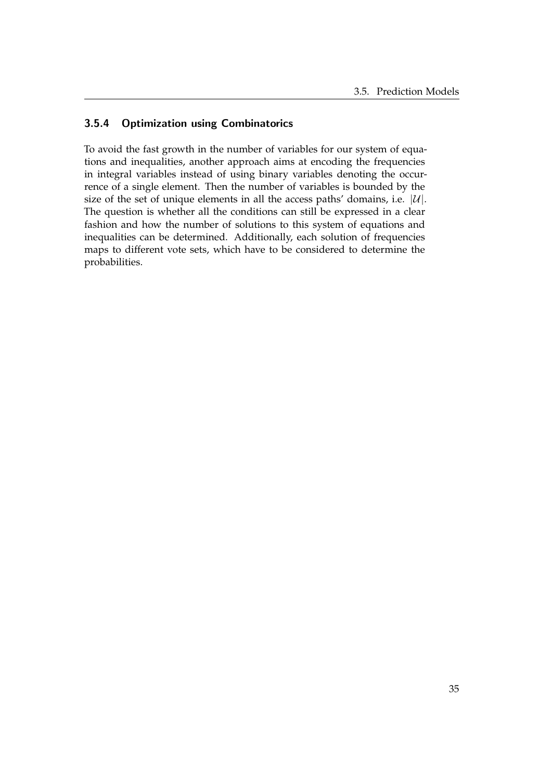## <span id="page-40-0"></span>3.5.4 Optimization using Combinatorics

To avoid the fast growth in the number of variables for our system of equations and inequalities, another approach aims at encoding the frequencies in integral variables instead of using binary variables denoting the occurrence of a single element. Then the number of variables is bounded by the size of the set of unique elements in all the access paths' domains, i.e.  $|\mathcal{U}|$ . The question is whether all the conditions can still be expressed in a clear fashion and how the number of solutions to this system of equations and inequalities can be determined. Additionally, each solution of frequencies maps to different vote sets, which have to be considered to determine the probabilities.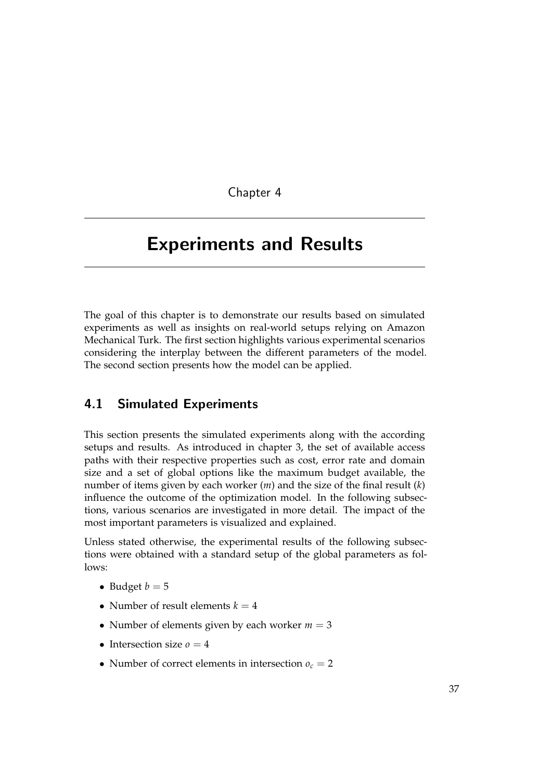Chapter 4

# <span id="page-42-0"></span>Experiments and Results

The goal of this chapter is to demonstrate our results based on simulated experiments as well as insights on real-world setups relying on Amazon Mechanical Turk. The first section highlights various experimental scenarios considering the interplay between the different parameters of the model. The second section presents how the model can be applied.

## <span id="page-42-1"></span>4.1 Simulated Experiments

This section presents the simulated experiments along with the according setups and results. As introduced in chapter [3,](#page-22-0) the set of available access paths with their respective properties such as cost, error rate and domain size and a set of global options like the maximum budget available, the number of items given by each worker (*m*) and the size of the final result (*k*) influence the outcome of the optimization model. In the following subsections, various scenarios are investigated in more detail. The impact of the most important parameters is visualized and explained.

Unless stated otherwise, the experimental results of the following subsections were obtained with a standard setup of the global parameters as follows:

- Budget  $b = 5$
- Number of result elements  $k = 4$
- Number of elements given by each worker  $m = 3$
- Intersection size  $\rho = 4$
- Number of correct elements in intersection  $o_c = 2$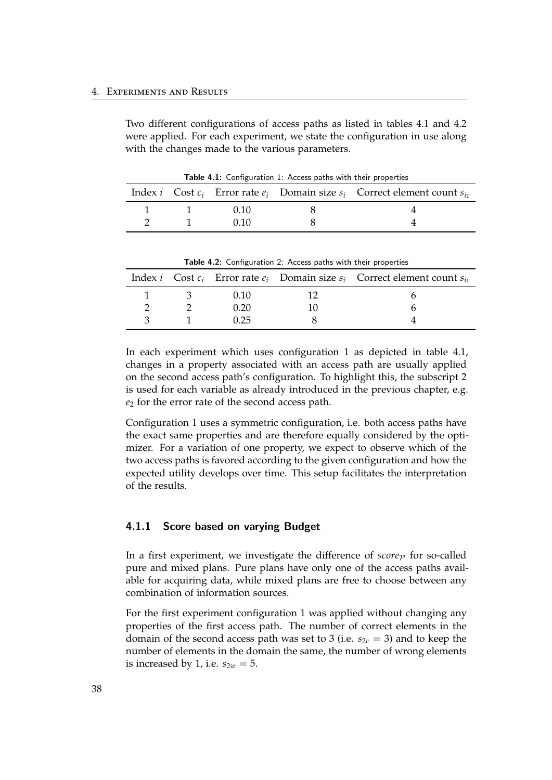Two different configurations of access paths as listed in tables [4.1](#page-43-1) and [4.2](#page-43-2) were applied. For each experiment, we state the configuration in use along with the changes made to the various parameters.

|  |      | Index <i>i</i> Cost $c_i$ Error rate $e_i$ Domain size $s_i$ Correct element count $s_{ic}$ |
|--|------|---------------------------------------------------------------------------------------------|
|  | (110 |                                                                                             |
|  | 0 10 |                                                                                             |

<span id="page-43-1"></span>Table 4.1: Configuration 1: Access paths with their properties

<span id="page-43-2"></span>Table 4.2: Configuration 2: Access paths with their properties

|  |      | Index <i>i</i> Cost $c_i$ Error rate $e_i$ Domain size $s_i$ Correct element count $s_{ic}$ |
|--|------|---------------------------------------------------------------------------------------------|
|  | 0.10 |                                                                                             |
|  | 0.20 |                                                                                             |
|  | 0.25 |                                                                                             |

In each experiment which uses configuration 1 as depicted in table [4.1,](#page-43-1) changes in a property associated with an access path are usually applied on the second access path's configuration. To highlight this, the subscript 2 is used for each variable as already introduced in the previous chapter, e.g. *e*<sup>2</sup> for the error rate of the second access path.

Configuration 1 uses a symmetric configuration, i.e. both access paths have the exact same properties and are therefore equally considered by the optimizer. For a variation of one property, we expect to observe which of the two access paths is favored according to the given configuration and how the expected utility develops over time. This setup facilitates the interpretation of the results.

#### <span id="page-43-0"></span>4.1.1 Score based on varying Budget

In a first experiment, we investigate the difference of  $score_{\mathcal{P}}$  for so-called pure and mixed plans. Pure plans have only one of the access paths available for acquiring data, while mixed plans are free to choose between any combination of information sources.

For the first experiment configuration 1 was applied without changing any properties of the first access path. The number of correct elements in the domain of the second access path was set to 3 (i.e.  $s_{2c} = 3$ ) and to keep the number of elements in the domain the same, the number of wrong elements is increased by 1, i.e.  $s_{2w} = 5$ .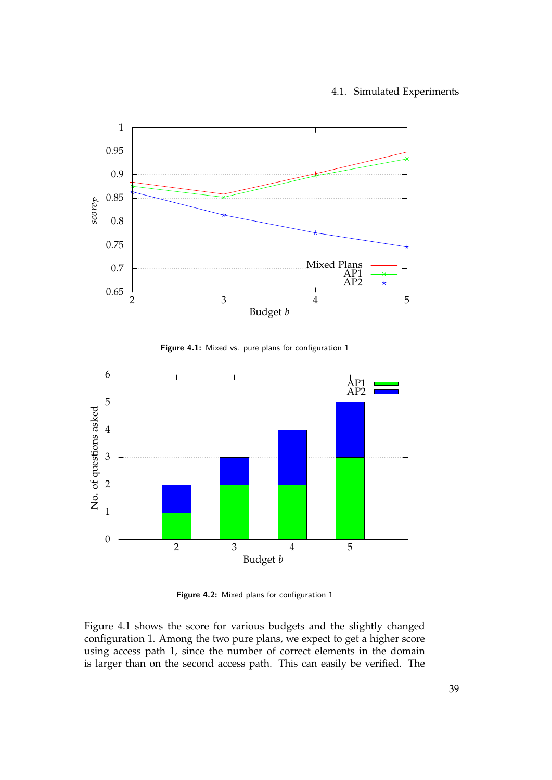

<span id="page-44-0"></span>Figure 4.1: Mixed vs. pure plans for configuration 1



<span id="page-44-1"></span>Figure 4.2: Mixed plans for configuration 1

Figure [4.1](#page-44-0) shows the score for various budgets and the slightly changed configuration 1. Among the two pure plans, we expect to get a higher score using access path 1, since the number of correct elements in the domain is larger than on the second access path. This can easily be verified. The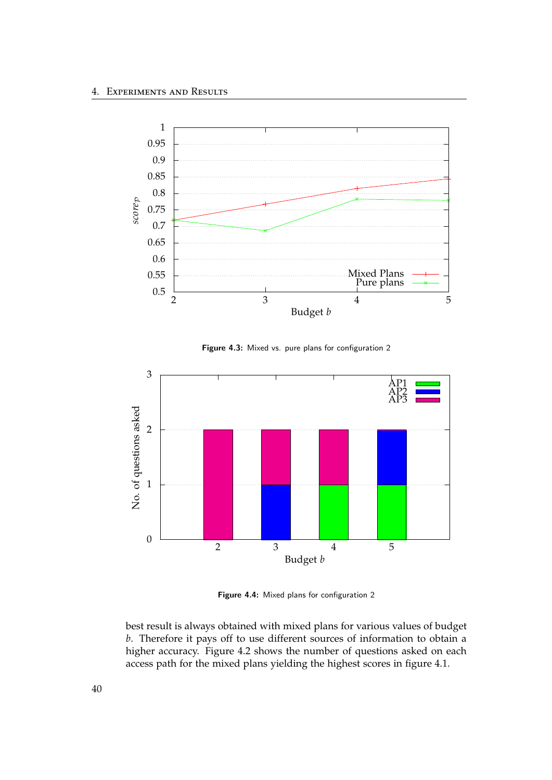

<span id="page-45-0"></span>Figure 4.3: Mixed vs. pure plans for configuration 2



<span id="page-45-1"></span>Figure 4.4: Mixed plans for configuration 2

best result is always obtained with mixed plans for various values of budget *b*. Therefore it pays off to use different sources of information to obtain a higher accuracy. Figure [4.2](#page-44-1) shows the number of questions asked on each access path for the mixed plans yielding the highest scores in figure [4.1.](#page-44-0)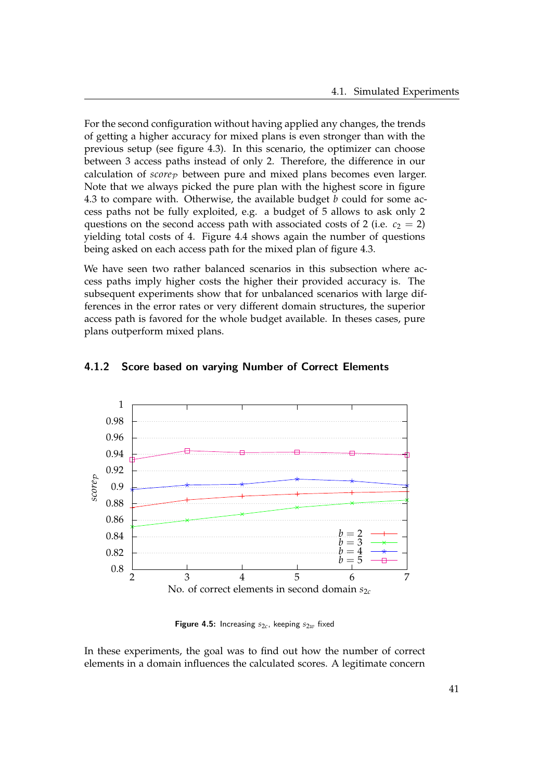For the second configuration without having applied any changes, the trends of getting a higher accuracy for mixed plans is even stronger than with the previous setup (see figure [4.3\)](#page-45-0). In this scenario, the optimizer can choose between 3 access paths instead of only 2. Therefore, the difference in our calculation of  $score_{\mathcal{P}}$  between pure and mixed plans becomes even larger. Note that we always picked the pure plan with the highest score in figure [4.3](#page-45-0) to compare with. Otherwise, the available budget *b* could for some access paths not be fully exploited, e.g. a budget of 5 allows to ask only 2 questions on the second access path with associated costs of 2 (i.e.  $c_2 = 2$ ) yielding total costs of 4. Figure [4.4](#page-45-1) shows again the number of questions being asked on each access path for the mixed plan of figure [4.3.](#page-45-0)

We have seen two rather balanced scenarios in this subsection where access paths imply higher costs the higher their provided accuracy is. The subsequent experiments show that for unbalanced scenarios with large differences in the error rates or very different domain structures, the superior access path is favored for the whole budget available. In theses cases, pure plans outperform mixed plans.



#### <span id="page-46-0"></span>4.1.2 Score based on varying Number of Correct Elements

<span id="page-46-1"></span>**Figure 4.5:** Increasing  $s_{2c}$ , keeping  $s_{2w}$  fixed

In these experiments, the goal was to find out how the number of correct elements in a domain influences the calculated scores. A legitimate concern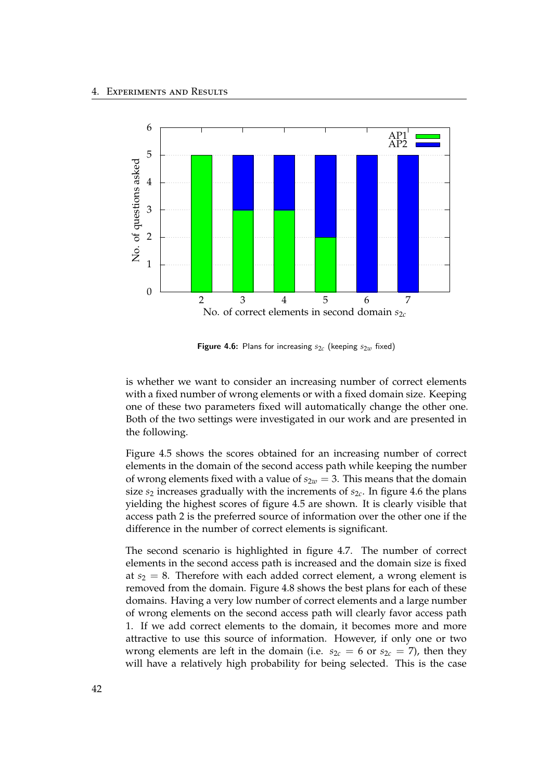

<span id="page-47-0"></span>Figure 4.6: Plans for increasing  $s_{2c}$  (keeping  $s_{2w}$  fixed)

is whether we want to consider an increasing number of correct elements with a fixed number of wrong elements or with a fixed domain size. Keeping one of these two parameters fixed will automatically change the other one. Both of the two settings were investigated in our work and are presented in the following.

Figure [4.5](#page-46-1) shows the scores obtained for an increasing number of correct elements in the domain of the second access path while keeping the number of wrong elements fixed with a value of  $s_{2w} = 3$ . This means that the domain size *s*<sup>2</sup> increases gradually with the increments of *s*2*<sup>c</sup>* . In figure [4.6](#page-47-0) the plans yielding the highest scores of figure [4.5](#page-46-1) are shown. It is clearly visible that access path 2 is the preferred source of information over the other one if the difference in the number of correct elements is significant.

The second scenario is highlighted in figure [4.7.](#page-48-0) The number of correct elements in the second access path is increased and the domain size is fixed at  $s_2 = 8$ . Therefore with each added correct element, a wrong element is removed from the domain. Figure [4.8](#page-48-1) shows the best plans for each of these domains. Having a very low number of correct elements and a large number of wrong elements on the second access path will clearly favor access path 1. If we add correct elements to the domain, it becomes more and more attractive to use this source of information. However, if only one or two wrong elements are left in the domain (i.e.  $s_{2c} = 6$  or  $s_{2c} = 7$ ), then they will have a relatively high probability for being selected. This is the case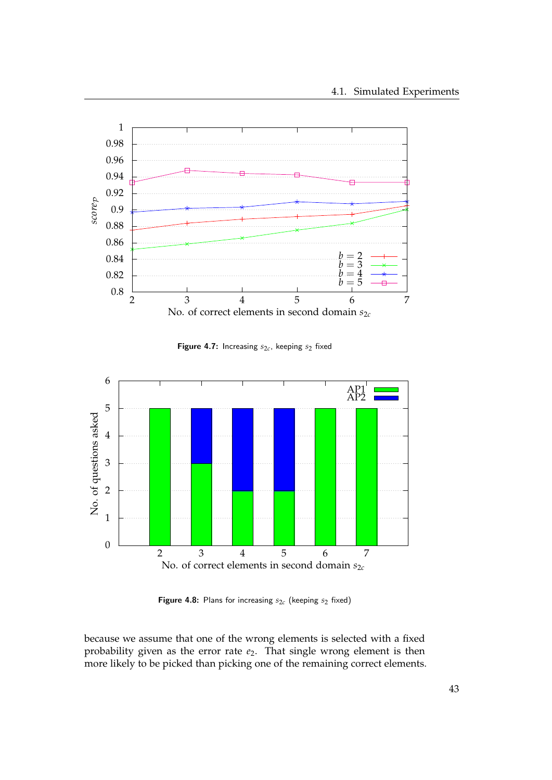

<span id="page-48-0"></span>**Figure 4.7:** Increasing  $s_{2c}$ , keeping  $s_2$  fixed



<span id="page-48-1"></span>Figure 4.8: Plans for increasing  $s_{2c}$  (keeping  $s_2$  fixed)

because we assume that one of the wrong elements is selected with a fixed probability given as the error rate  $e_2$ . That single wrong element is then more likely to be picked than picking one of the remaining correct elements.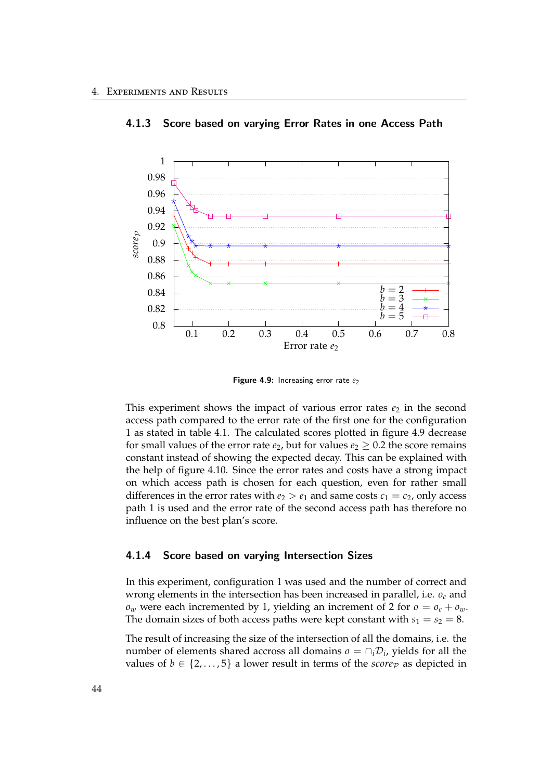

#### <span id="page-49-0"></span>4.1.3 Score based on varying Error Rates in one Access Path

<span id="page-49-2"></span>Figure 4.9: Increasing error rate  $e_2$ 

This experiment shows the impact of various error rates  $e_2$  in the second access path compared to the error rate of the first one for the configuration 1 as stated in table [4.1.](#page-43-1) The calculated scores plotted in figure [4.9](#page-49-2) decrease for small values of the error rate  $e_2$ , but for values  $e_2 \geq 0.2$  the score remains constant instead of showing the expected decay. This can be explained with the help of figure [4.10.](#page-50-0) Since the error rates and costs have a strong impact on which access path is chosen for each question, even for rather small differences in the error rates with  $e_2 > e_1$  and same costs  $c_1 = c_2$ , only access path 1 is used and the error rate of the second access path has therefore no influence on the best plan's score.

#### <span id="page-49-1"></span>4.1.4 Score based on varying Intersection Sizes

In this experiment, configuration 1 was used and the number of correct and wrong elements in the intersection has been increased in parallel, i.e. *o<sup>c</sup>* and  $o_w$  were each incremented by 1, yielding an increment of 2 for  $o = o_c + o_w$ . The domain sizes of both access paths were kept constant with  $s_1 = s_2 = 8$ .

The result of increasing the size of the intersection of all the domains, i.e. the number of elements shared accross all domains  $o = \cap_i \mathcal{D}_i$ , yields for all the values of  $b \in \{2, \ldots, 5\}$  a lower result in terms of the *score*<sub>P</sub> as depicted in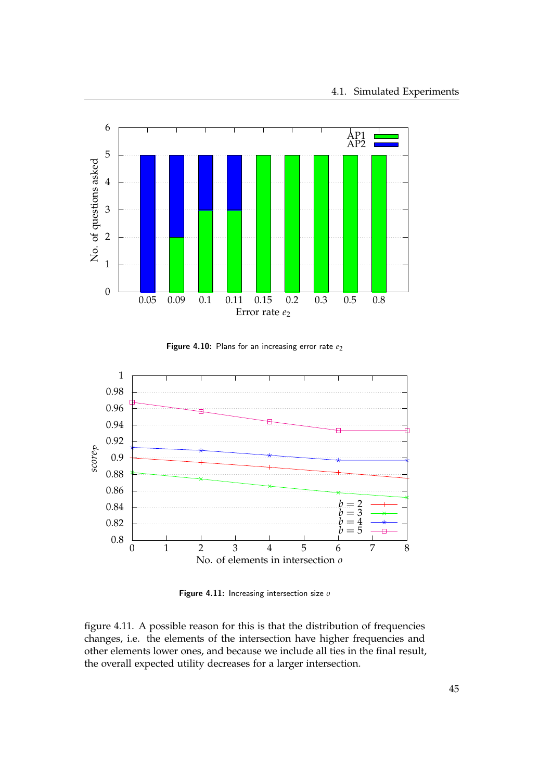

<span id="page-50-0"></span>Figure 4.10: Plans for an increasing error rate  $e_2$ 



<span id="page-50-1"></span>Figure 4.11: Increasing intersection size *o*

figure [4.11.](#page-50-1) A possible reason for this is that the distribution of frequencies changes, i.e. the elements of the intersection have higher frequencies and other elements lower ones, and because we include all ties in the final result, the overall expected utility decreases for a larger intersection.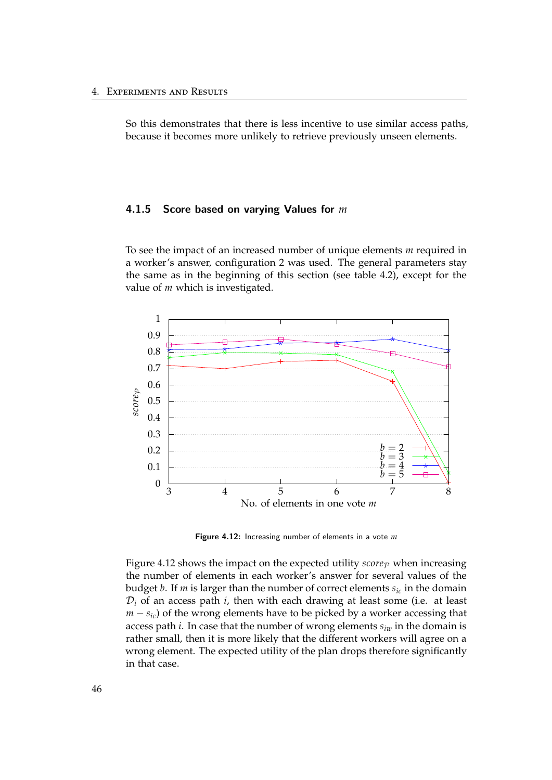So this demonstrates that there is less incentive to use similar access paths, because it becomes more unlikely to retrieve previously unseen elements.

### <span id="page-51-0"></span>4.1.5 Score based on varying Values for *m*

To see the impact of an increased number of unique elements *m* required in a worker's answer, configuration 2 was used. The general parameters stay the same as in the beginning of this section (see table [4.2\)](#page-43-2), except for the value of *m* which is investigated.



<span id="page-51-1"></span>Figure 4.12: Increasing number of elements in a vote *m*

Figure [4.12](#page-51-1) shows the impact on the expected utility  $score_{\mathcal{P}}$  when increasing the number of elements in each worker's answer for several values of the budget *b*. If *m* is larger than the number of correct elements *sic* in the domain  $\mathcal{D}_i$  of an access path  $i$ , then with each drawing at least some (i.e. at least  $m - s_{ic}$ ) of the wrong elements have to be picked by a worker accessing that access path *i*. In case that the number of wrong elements *siw* in the domain is rather small, then it is more likely that the different workers will agree on a wrong element. The expected utility of the plan drops therefore significantly in that case.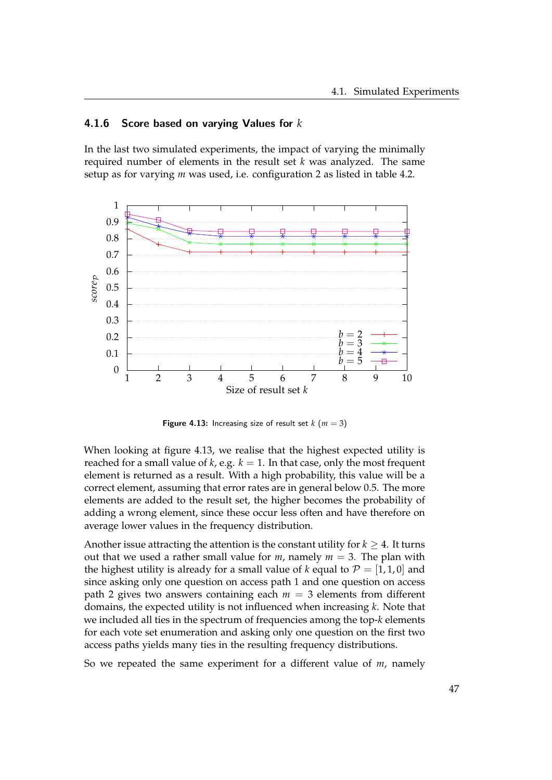## <span id="page-52-0"></span>4.1.6 Score based on varying Values for *k*

In the last two simulated experiments, the impact of varying the minimally required number of elements in the result set *k* was analyzed. The same setup as for varying *m* was used, i.e. configuration 2 as listed in table [4.2.](#page-43-2)



<span id="page-52-1"></span>**Figure 4.13:** Increasing size of result set  $k$  ( $m = 3$ )

When looking at figure [4.13,](#page-52-1) we realise that the highest expected utility is reached for a small value of  $k$ , e.g.  $k = 1$ . In that case, only the most frequent element is returned as a result. With a high probability, this value will be a correct element, assuming that error rates are in general below 0.5. The more elements are added to the result set, the higher becomes the probability of adding a wrong element, since these occur less often and have therefore on average lower values in the frequency distribution.

Another issue attracting the attention is the constant utility for  $k \geq 4$ . It turns out that we used a rather small value for  $m$ , namely  $m = 3$ . The plan with the highest utility is already for a small value of *k* equal to  $\mathcal{P} = [1, 1, 0]$  and since asking only one question on access path 1 and one question on access path 2 gives two answers containing each  $m = 3$  elements from different domains, the expected utility is not influenced when increasing *k*. Note that we included all ties in the spectrum of frequencies among the top-*k* elements for each vote set enumeration and asking only one question on the first two access paths yields many ties in the resulting frequency distributions.

So we repeated the same experiment for a different value of *m*, namely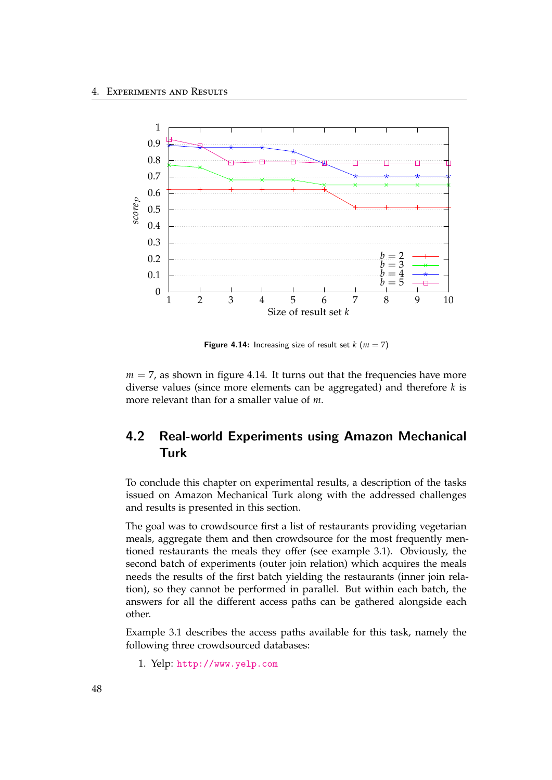

<span id="page-53-1"></span>**Figure 4.14:** Increasing size of result set  $k$  ( $m = 7$ )

 $m = 7$ , as shown in figure [4.14.](#page-53-1) It turns out that the frequencies have more diverse values (since more elements can be aggregated) and therefore *k* is more relevant than for a smaller value of *m*.

## <span id="page-53-0"></span>4.2 Real-world Experiments using Amazon Mechanical Turk

To conclude this chapter on experimental results, a description of the tasks issued on Amazon Mechanical Turk along with the addressed challenges and results is presented in this section.

The goal was to crowdsource first a list of restaurants providing vegetarian meals, aggregate them and then crowdsource for the most frequently mentioned restaurants the meals they offer (see example [3.1\)](#page-23-0). Obviously, the second batch of experiments (outer join relation) which acquires the meals needs the results of the first batch yielding the restaurants (inner join relation), so they cannot be performed in parallel. But within each batch, the answers for all the different access paths can be gathered alongside each other.

Example [3.1](#page-23-0) describes the access paths available for this task, namely the following three crowdsourced databases:

1. Yelp: <http://www.yelp.com>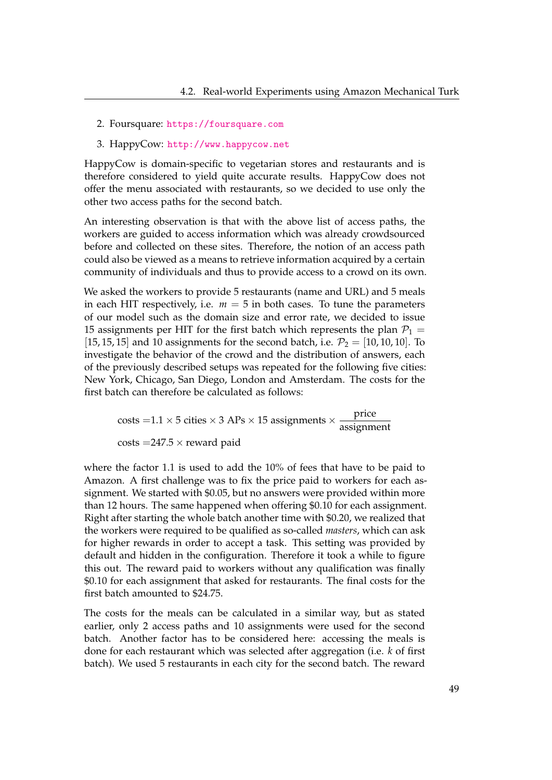- 2. Foursquare: <https://foursquare.com>
- 3. HappyCow: <http://www.happycow.net>

HappyCow is domain-specific to vegetarian stores and restaurants and is therefore considered to yield quite accurate results. HappyCow does not offer the menu associated with restaurants, so we decided to use only the other two access paths for the second batch.

An interesting observation is that with the above list of access paths, the workers are guided to access information which was already crowdsourced before and collected on these sites. Therefore, the notion of an access path could also be viewed as a means to retrieve information acquired by a certain community of individuals and thus to provide access to a crowd on its own.

We asked the workers to provide 5 restaurants (name and URL) and 5 meals in each HIT respectively, i.e.  $m = 5$  in both cases. To tune the parameters of our model such as the domain size and error rate, we decided to issue 15 assignments per HIT for the first batch which represents the plan  $P_1$  = [15, 15, 15] and 10 assignments for the second batch, i.e.  $P_2 = [10, 10, 10]$ . To investigate the behavior of the crowd and the distribution of answers, each of the previously described setups was repeated for the following five cities: New York, Chicago, San Diego, London and Amsterdam. The costs for the first batch can therefore be calculated as follows:

> costs =  $1.1 \times 5$  cities  $\times$  3 APs  $\times$  15 assignments  $\times \frac{\text{price}}{\text{precision}}$ assignment  $costs = 247.5 \times reward$  paid

where the factor 1.1 is used to add the 10% of fees that have to be paid to Amazon. A first challenge was to fix the price paid to workers for each assignment. We started with \$0.05, but no answers were provided within more than 12 hours. The same happened when offering \$0.10 for each assignment. Right after starting the whole batch another time with \$0.20, we realized that the workers were required to be qualified as so-called *masters*, which can ask for higher rewards in order to accept a task. This setting was provided by default and hidden in the configuration. Therefore it took a while to figure this out. The reward paid to workers without any qualification was finally \$0.10 for each assignment that asked for restaurants. The final costs for the first batch amounted to \$24.75.

The costs for the meals can be calculated in a similar way, but as stated earlier, only 2 access paths and 10 assignments were used for the second batch. Another factor has to be considered here: accessing the meals is done for each restaurant which was selected after aggregation (i.e. *k* of first batch). We used 5 restaurants in each city for the second batch. The reward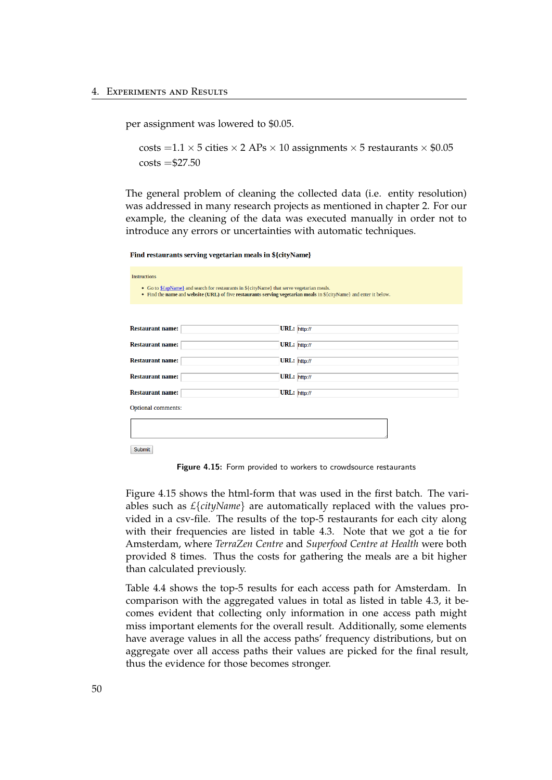per assignment was lowered to \$0.05.

costs =  $1.1 \times 5$  cities  $\times$  2 APs  $\times$  10 assignments  $\times$  5 restaurants  $\times$  \$0.05  $costs = $27.50$ 

The general problem of cleaning the collected data (i.e. entity resolution) was addressed in many research projects as mentioned in chapter [2.](#page-12-0) For our example, the cleaning of the data was executed manually in order not to introduce any errors or uncertainties with automatic techniques.

Find restaurants serving vegetarian meals in \${cityName}

| <b>Instructions</b>                                                                                                                                                                                              |              |  |  |  |  |
|------------------------------------------------------------------------------------------------------------------------------------------------------------------------------------------------------------------|--------------|--|--|--|--|
| • Go to \${apName} and search for restaurants in \${cityName} that serve vegetarian meals.<br>• Find the name and website (URL) of five restaurants serving vegetarian meals in \${cityName} and enter it below. |              |  |  |  |  |
|                                                                                                                                                                                                                  |              |  |  |  |  |
| <b>Restaurant name:</b>                                                                                                                                                                                          | URL: http:// |  |  |  |  |
| <b>Restaurant name:</b>                                                                                                                                                                                          | URL: http:// |  |  |  |  |
| <b>Restaurant name:</b>                                                                                                                                                                                          | URL: http:// |  |  |  |  |
| <b>Restaurant name:</b>                                                                                                                                                                                          | URL: http:// |  |  |  |  |
| <b>Restaurant name:</b>                                                                                                                                                                                          | URL: http:// |  |  |  |  |
| <b>Optional comments:</b>                                                                                                                                                                                        |              |  |  |  |  |
|                                                                                                                                                                                                                  |              |  |  |  |  |
| <b>Submit</b>                                                                                                                                                                                                    |              |  |  |  |  |

<span id="page-55-0"></span>Figure 4.15: Form provided to workers to crowdsource restaurants

Figure [4.15](#page-55-0) shows the html-form that was used in the first batch. The variables such as *£*{*cityName*} are automatically replaced with the values provided in a csv-file. The results of the top-5 restaurants for each city along with their frequencies are listed in table [4.3.](#page-56-0) Note that we got a tie for Amsterdam, where *TerraZen Centre* and *Superfood Centre at Health* were both provided 8 times. Thus the costs for gathering the meals are a bit higher than calculated previously.

Table [4.4](#page-57-0) shows the top-5 results for each access path for Amsterdam. In comparison with the aggregated values in total as listed in table [4.3,](#page-56-0) it becomes evident that collecting only information in one access path might miss important elements for the overall result. Additionally, some elements have average values in all the access paths' frequency distributions, but on aggregate over all access paths their values are picked for the final result, thus the evidence for those becomes stronger.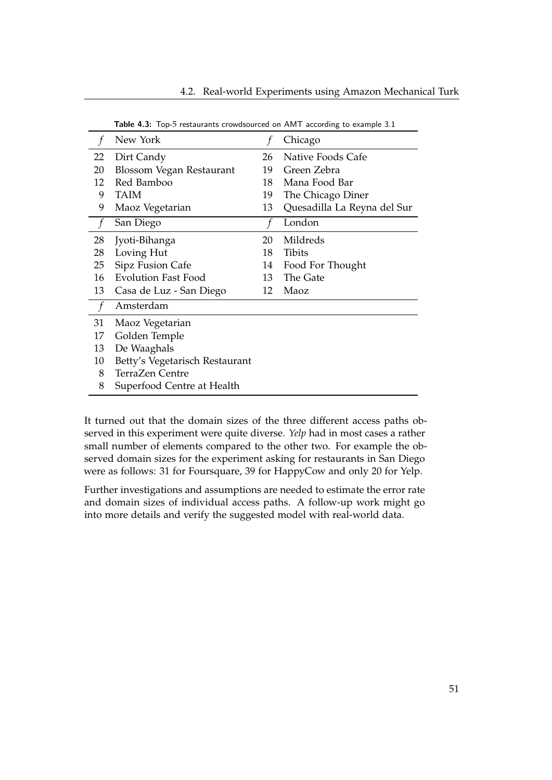|    | New York                       |    | Chicago                     |
|----|--------------------------------|----|-----------------------------|
| 22 | Dirt Candy                     | 26 | Native Foods Cafe           |
| 20 | Blossom Vegan Restaurant       | 19 | Green Zebra                 |
| 12 | Red Bamboo                     | 18 | Mana Food Bar               |
| 9  | TAIM                           | 19 | The Chicago Diner           |
| 9  | Maoz Vegetarian                | 13 | Quesadilla La Reyna del Sur |
|    | San Diego                      |    | London                      |
| 28 | Jyoti-Bihanga                  | 20 | Mildreds                    |
| 28 | Loving Hut                     | 18 | <b>Tibits</b>               |
| 25 | Sipz Fusion Cafe               | 14 | Food For Thought            |
| 16 | <b>Evolution Fast Food</b>     | 13 | The Gate                    |
| 13 | Casa de Luz - San Diego        | 12 | Maoz                        |
|    | Amsterdam                      |    |                             |
| 31 | Maoz Vegetarian                |    |                             |
| 17 | Golden Temple                  |    |                             |
| 13 | De Waaghals                    |    |                             |
| 10 | Betty's Vegetarisch Restaurant |    |                             |
| 8  | TerraZen Centre                |    |                             |
| 8  | Superfood Centre at Health     |    |                             |

<span id="page-56-0"></span>Table 4.3: Top-5 restaurants crowdsourced on AMT according to example [3.1](#page-23-0)

It turned out that the domain sizes of the three different access paths observed in this experiment were quite diverse. *Yelp* had in most cases a rather small number of elements compared to the other two. For example the observed domain sizes for the experiment asking for restaurants in San Diego were as follows: 31 for Foursquare, 39 for HappyCow and only 20 for Yelp.

Further investigations and assumptions are needed to estimate the error rate and domain sizes of individual access paths. A follow-up work might go into more details and verify the suggested model with real-world data.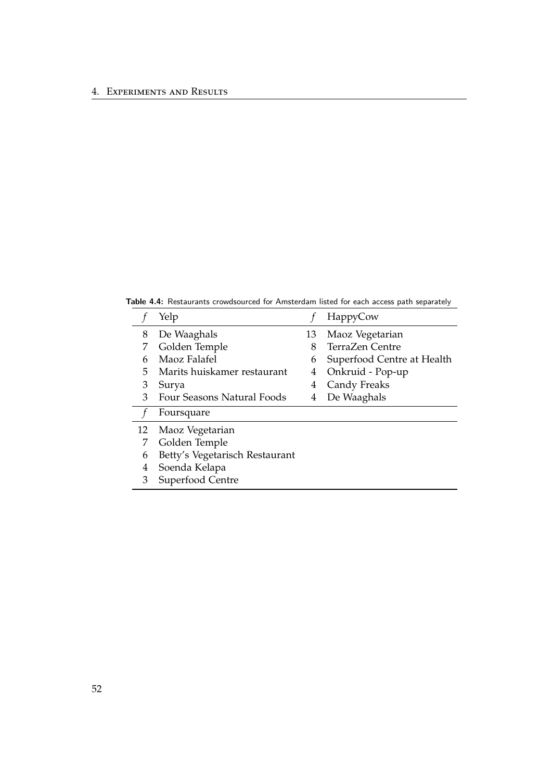Table 4.4: Restaurants crowdsourced for Amsterdam listed for each access path separately

<span id="page-57-0"></span>

|    | Yelp                           |    | HappyCow                   |
|----|--------------------------------|----|----------------------------|
| 8  | De Waaghals                    | 13 | Maoz Vegetarian            |
|    | Golden Temple                  | 8  | TerraZen Centre            |
| 6  | Maoz Falafel                   | 6  | Superfood Centre at Health |
| 5. | Marits huiskamer restaurant    | 4  | Onkruid - Pop-up           |
| 3  | Surya                          | 4  | Candy Freaks               |
| 3  | Four Seasons Natural Foods     | 4  | De Waaghals                |
|    | Foursquare                     |    |                            |
| 12 | Maoz Vegetarian                |    |                            |
|    | Golden Temple                  |    |                            |
| 6  | Betty's Vegetarisch Restaurant |    |                            |
| 4  | Soenda Kelapa                  |    |                            |
| 3  | Superfood Centre               |    |                            |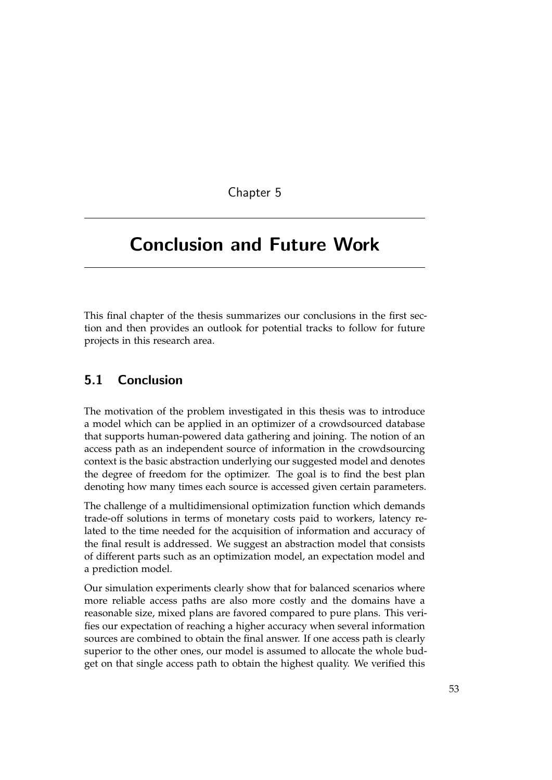Chapter 5

# <span id="page-58-0"></span>Conclusion and Future Work

This final chapter of the thesis summarizes our conclusions in the first section and then provides an outlook for potential tracks to follow for future projects in this research area.

## <span id="page-58-1"></span>5.1 Conclusion

The motivation of the problem investigated in this thesis was to introduce a model which can be applied in an optimizer of a crowdsourced database that supports human-powered data gathering and joining. The notion of an access path as an independent source of information in the crowdsourcing context is the basic abstraction underlying our suggested model and denotes the degree of freedom for the optimizer. The goal is to find the best plan denoting how many times each source is accessed given certain parameters.

The challenge of a multidimensional optimization function which demands trade-off solutions in terms of monetary costs paid to workers, latency related to the time needed for the acquisition of information and accuracy of the final result is addressed. We suggest an abstraction model that consists of different parts such as an optimization model, an expectation model and a prediction model.

Our simulation experiments clearly show that for balanced scenarios where more reliable access paths are also more costly and the domains have a reasonable size, mixed plans are favored compared to pure plans. This verifies our expectation of reaching a higher accuracy when several information sources are combined to obtain the final answer. If one access path is clearly superior to the other ones, our model is assumed to allocate the whole budget on that single access path to obtain the highest quality. We verified this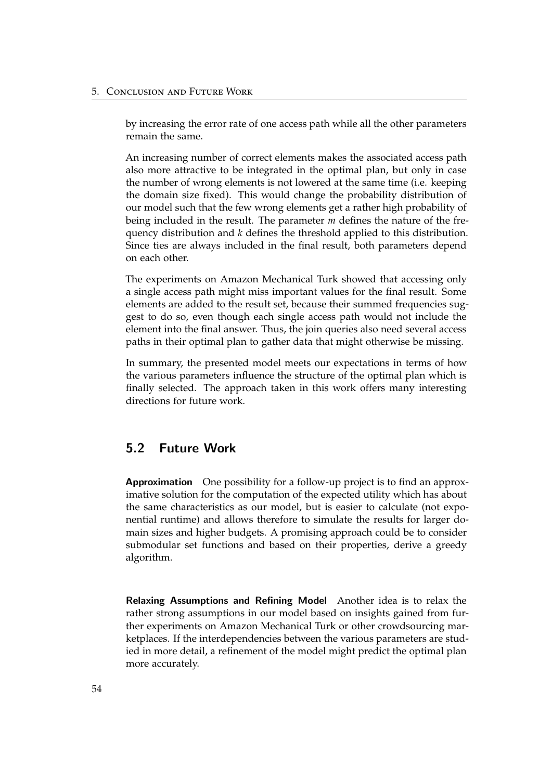by increasing the error rate of one access path while all the other parameters remain the same.

An increasing number of correct elements makes the associated access path also more attractive to be integrated in the optimal plan, but only in case the number of wrong elements is not lowered at the same time (i.e. keeping the domain size fixed). This would change the probability distribution of our model such that the few wrong elements get a rather high probability of being included in the result. The parameter *m* defines the nature of the frequency distribution and *k* defines the threshold applied to this distribution. Since ties are always included in the final result, both parameters depend on each other.

The experiments on Amazon Mechanical Turk showed that accessing only a single access path might miss important values for the final result. Some elements are added to the result set, because their summed frequencies suggest to do so, even though each single access path would not include the element into the final answer. Thus, the join queries also need several access paths in their optimal plan to gather data that might otherwise be missing.

In summary, the presented model meets our expectations in terms of how the various parameters influence the structure of the optimal plan which is finally selected. The approach taken in this work offers many interesting directions for future work.

## <span id="page-59-0"></span>5.2 Future Work

Approximation One possibility for a follow-up project is to find an approximative solution for the computation of the expected utility which has about the same characteristics as our model, but is easier to calculate (not exponential runtime) and allows therefore to simulate the results for larger domain sizes and higher budgets. A promising approach could be to consider submodular set functions and based on their properties, derive a greedy algorithm.

Relaxing Assumptions and Refining Model Another idea is to relax the rather strong assumptions in our model based on insights gained from further experiments on Amazon Mechanical Turk or other crowdsourcing marketplaces. If the interdependencies between the various parameters are studied in more detail, a refinement of the model might predict the optimal plan more accurately.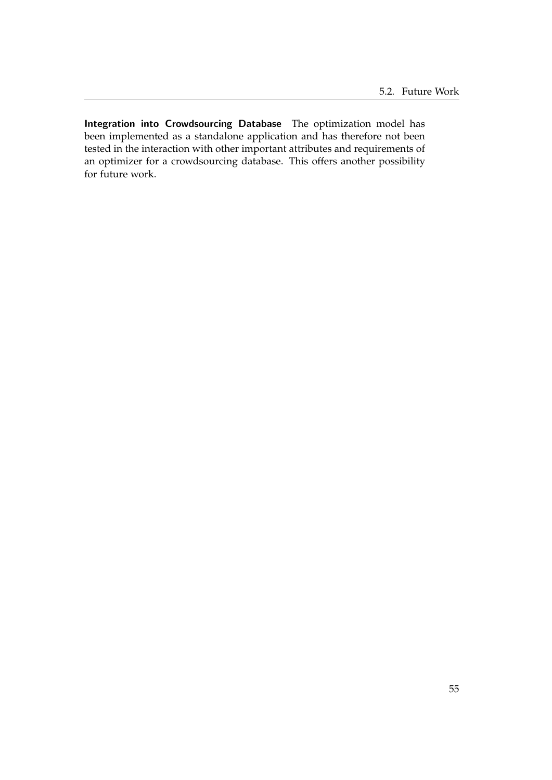Integration into Crowdsourcing Database The optimization model has been implemented as a standalone application and has therefore not been tested in the interaction with other important attributes and requirements of an optimizer for a crowdsourcing database. This offers another possibility for future work.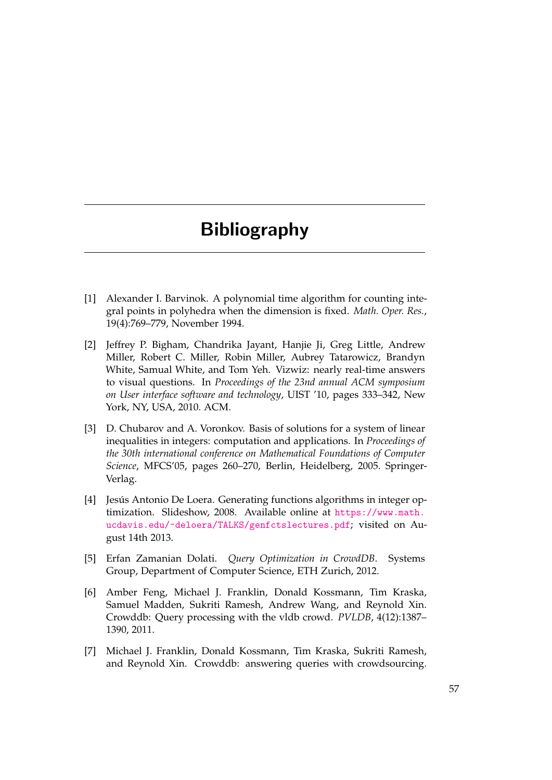# Bibliography

- <span id="page-62-0"></span>[1] Alexander I. Barvinok. A polynomial time algorithm for counting integral points in polyhedra when the dimension is fixed. *Math. Oper. Res.*, 19(4):769–779, November 1994.
- <span id="page-62-2"></span>[2] Jeffrey P. Bigham, Chandrika Jayant, Hanjie Ji, Greg Little, Andrew Miller, Robert C. Miller, Robin Miller, Aubrey Tatarowicz, Brandyn White, Samual White, and Tom Yeh. Vizwiz: nearly real-time answers to visual questions. In *Proceedings of the 23nd annual ACM symposium on User interface software and technology*, UIST '10, pages 333–342, New York, NY, USA, 2010. ACM.
- <span id="page-62-5"></span>[3] D. Chubarov and A. Voronkov. Basis of solutions for a system of linear inequalities in integers: computation and applications. In *Proceedings of the 30th international conference on Mathematical Foundations of Computer Science*, MFCS'05, pages 260–270, Berlin, Heidelberg, 2005. Springer-Verlag.
- <span id="page-62-6"></span>[4] Jesús Antonio De Loera. Generating functions algorithms in integer optimization. Slideshow, 2008. Available online at [https://www.math.](https://www.math.ucdavis.edu/~deloera/TALKS/genfctslectures.pdf) [ucdavis.edu/~deloera/TALKS/genfctslectures.pdf](https://www.math.ucdavis.edu/~deloera/TALKS/genfctslectures.pdf); visited on August 14th 2013.
- <span id="page-62-1"></span>[5] Erfan Zamanian Dolati. *Query Optimization in CrowdDB*. Systems Group, Department of Computer Science, ETH Zurich, 2012.
- <span id="page-62-4"></span>[6] Amber Feng, Michael J. Franklin, Donald Kossmann, Tim Kraska, Samuel Madden, Sukriti Ramesh, Andrew Wang, and Reynold Xin. Crowddb: Query processing with the vldb crowd. *PVLDB*, 4(12):1387– 1390, 2011.
- <span id="page-62-3"></span>[7] Michael J. Franklin, Donald Kossmann, Tim Kraska, Sukriti Ramesh, and Reynold Xin. Crowddb: answering queries with crowdsourcing.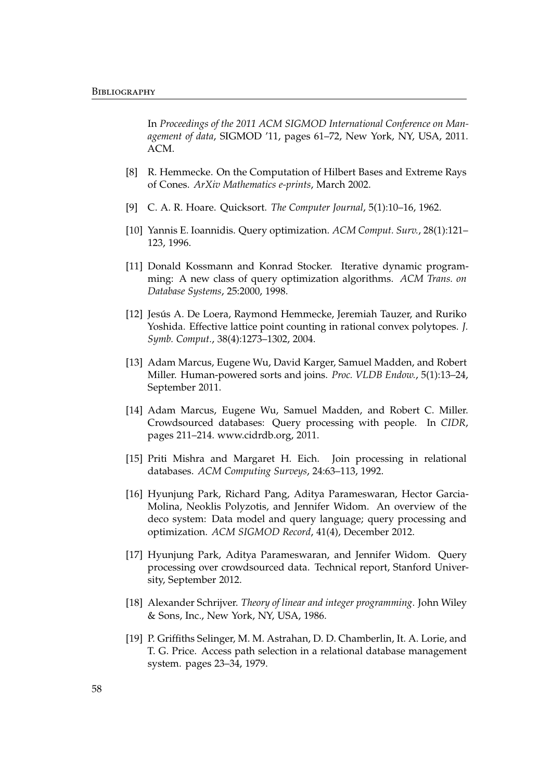In *Proceedings of the 2011 ACM SIGMOD International Conference on Management of data*, SIGMOD '11, pages 61–72, New York, NY, USA, 2011. ACM.

- <span id="page-63-9"></span>[8] R. Hemmecke. On the Computation of Hilbert Bases and Extreme Rays of Cones. *ArXiv Mathematics e-prints*, March 2002.
- <span id="page-63-11"></span>[9] C. A. R. Hoare. Quicksort. *The Computer Journal*, 5(1):10–16, 1962.
- <span id="page-63-1"></span>[10] Yannis E. Ioannidis. Query optimization. *ACM Comput. Surv.*, 28(1):121– 123, 1996.
- <span id="page-63-2"></span>[11] Donald Kossmann and Konrad Stocker. Iterative dynamic programming: A new class of query optimization algorithms. *ACM Trans. on Database Systems*, 25:2000, 1998.
- <span id="page-63-10"></span>[12] Jesús A. De Loera, Raymond Hemmecke, Jeremiah Tauzer, and Ruriko Yoshida. Effective lattice point counting in rational convex polytopes. *J. Symb. Comput.*, 38(4):1273–1302, 2004.
- <span id="page-63-7"></span>[13] Adam Marcus, Eugene Wu, David Karger, Samuel Madden, and Robert Miller. Human-powered sorts and joins. *Proc. VLDB Endow.*, 5(1):13–24, September 2011.
- <span id="page-63-4"></span>[14] Adam Marcus, Eugene Wu, Samuel Madden, and Robert C. Miller. Crowdsourced databases: Query processing with people. In *CIDR*, pages 211–214. www.cidrdb.org, 2011.
- <span id="page-63-3"></span>[15] Priti Mishra and Margaret H. Eich. Join processing in relational databases. *ACM Computing Surveys*, 24:63–113, 1992.
- <span id="page-63-5"></span>[16] Hyunjung Park, Richard Pang, Aditya Parameswaran, Hector Garcia-Molina, Neoklis Polyzotis, and Jennifer Widom. An overview of the deco system: Data model and query language; query processing and optimization. *ACM SIGMOD Record*, 41(4), December 2012.
- <span id="page-63-6"></span>[17] Hyunjung Park, Aditya Parameswaran, and Jennifer Widom. Query processing over crowdsourced data. Technical report, Stanford University, September 2012.
- <span id="page-63-8"></span>[18] Alexander Schrijver. *Theory of linear and integer programming*. John Wiley & Sons, Inc., New York, NY, USA, 1986.
- <span id="page-63-0"></span>[19] P. Griffiths Selinger, M. M. Astrahan, D. D. Chamberlin, It. A. Lorie, and T. G. Price. Access path selection in a relational database management system. pages 23–34, 1979.